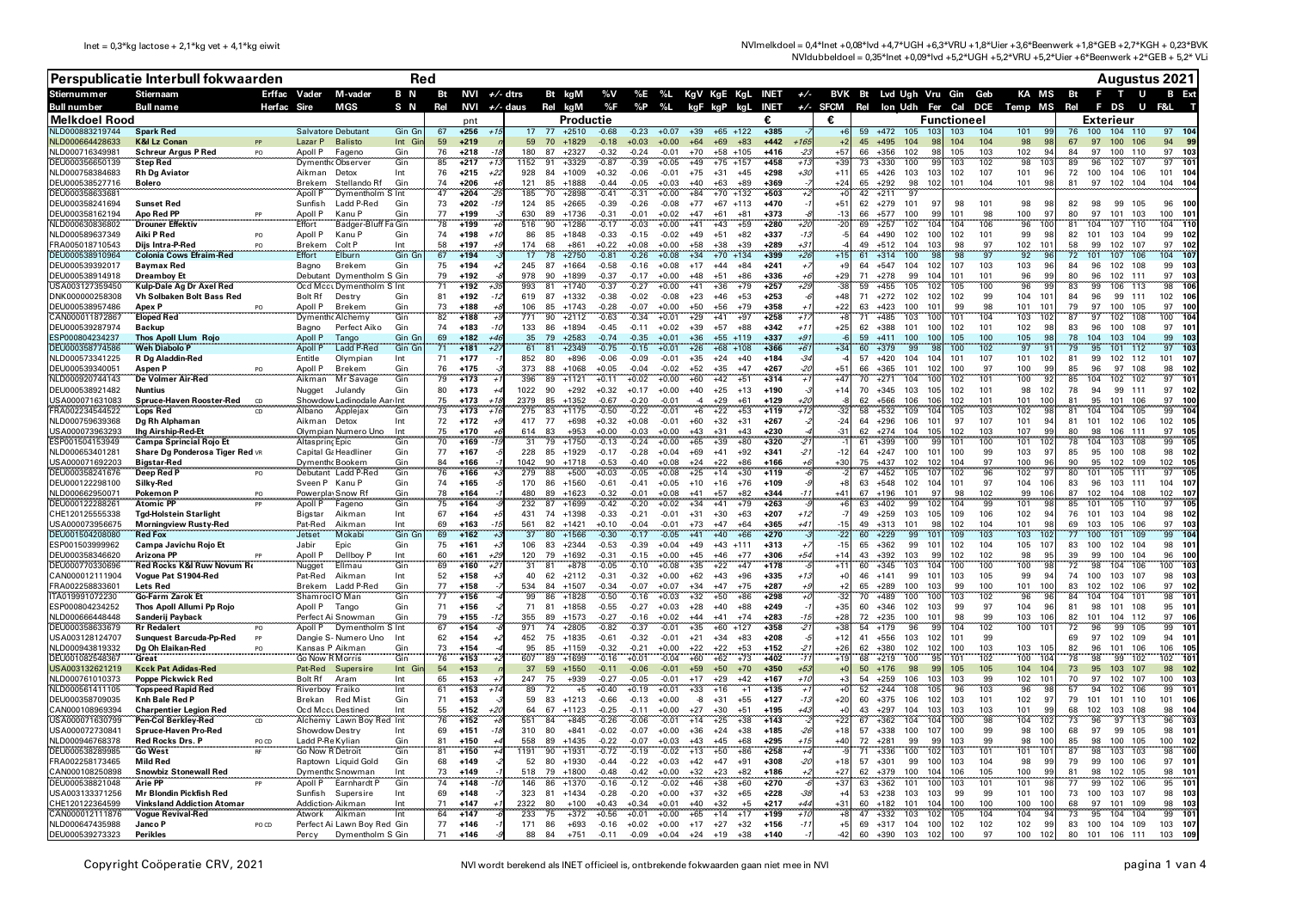NVImelkdoel = 0,4\*lnet +0,08\*lvd +4,7\*UGH +6,3\*VRU +1,8\*Uier +3,6\*Beenwerk +1,8\*GEB +2,7\*KGH + 0,23\*BVK NVIdubbeldoel = 0,35\*lnet +0,09\*lvd +5,2\*UGH +5,2\*VRU +5,2\*Uier +6\*Beenwerk +2\*GEB + 5,2\* VLi

|                                         | Perspublicatie Interbull fokwaarden             |                                  |                                           |                                                 | Red           |          |                  |                     |                      |                          |                    |                    |                    |                                  |                 |                  |     |                |          |                                |             |                            |                                                         |                |                                  |                   | <b>Augustus 2021</b>            |
|-----------------------------------------|-------------------------------------------------|----------------------------------|-------------------------------------------|-------------------------------------------------|---------------|----------|------------------|---------------------|----------------------|--------------------------|--------------------|--------------------|--------------------|----------------------------------|-----------------|------------------|-----|----------------|----------|--------------------------------|-------------|----------------------------|---------------------------------------------------------|----------------|----------------------------------|-------------------|---------------------------------|
| <b>Stiernummer</b>                      | <b>Stiernaam</b>                                |                                  | Erffac Vader                              | M-vader                                         | B N           | Bt       | NVI $+/-$ dtrs   |                     |                      | Bt kgM                   | %V                 |                    | %E %L              | KgV KgE KgL INET $+/$            |                 |                  |     |                |          |                                |             | BVK Bt Lvd Ugh Vru Gin Geb | KA MS                                                   | Bt             | F.                               | $\mathbf{T}$<br>U | <b>B</b> Ext                    |
| <b>Bull number</b>                      | <b>Bull name</b>                                | Herfac Sire                      |                                           | MGS                                             | S N           | Rel      | NVI              | +/- daus            |                      | Rel kgM                  | %F                 | %P                 | %L                 | kgF kgP                          | kgL             | <b>INET</b>      |     | +/- SFCM       |          |                                |             |                            | Rel Ion Udh Fer Cal DCE Temp MS                         | Rel            | F DS                             | U                 | F&I                             |
| <b>Melkdoel Rood</b><br>NLD000883219744 | <b>Spark Red</b>                                |                                  | <b>Salvatore Debutant</b>                 |                                                 | Gin Gr        | 67       | pnt<br>$+256$    |                     | 17                   | Productie<br>$77 + 2510$ | $-0.68$            | $-0.23$            | $+0.07$            | $+39$                            | $+65$ +122      | €<br>$+385$      |     |                | 59       | $+472$<br>105                  |             | <b>Functioneel</b><br>103  | 104<br>101                                              | 76             | Exterieur<br>100                 | 104 110           | 97                              |
| NLD000664428633                         | <b>K&amp;I Lz Conan</b>                         |                                  | Lazar P                                   | <b>Balisto</b>                                  | Int Gir       | 59       | $+219$           | 59                  | 70                   | $+1829$                  | $-0.18$            | $+0.03$            | $+0.00$            | $+64$<br>$+69$                   | $+83$           | $+442$           |     |                | 45       | $+495$<br>104                  | 98          | 104                        | 104<br>98<br>98                                         | 67             | 100<br>97                        | 106               | 94                              |
| VLD000716349981                         | <b>Schreur Argus P Red</b>                      | PO                               | Apoll P                                   | Fageno                                          | Gin           | 76       | $+218$           | 180                 | 87                   | $+2327$                  | $-0.32$            | $-0.24$            | $-0.01$            | $+70$                            | $+58$ +105      | $+416$           | -2. | $+57$          | 66       | $+356$<br>102                  | 98          | 105                        | 103<br>102<br>94                                        | 84             | 97                               | 100 110           | 97<br>103                       |
| DEU000356650139                         | <b>Step Red</b>                                 |                                  | Dymenth Observe                           |                                                 | Gin           | 85       | $+217$           | 1152                | 91                   | $+3329$                  | $-0.87$            | $-0.39$            | $+0.05$            | $+49$                            | $+75$ +157      | $+458$           |     | $+20$          | 73       | $+330$<br>100                  |             | 103                        | 98<br>10 <sup>2</sup><br>102                            | 89             | 96                               | 102<br>107        | $10^{\circ}$<br>97              |
| NLD000758384683<br>DEU000538527716      | <b>Rh Dg Aviator</b><br><b>Bolero</b>           |                                  | Aikman<br><b>Brekem</b>                   | Detox<br>Stellando Ri                           | Int<br>Gin    | 76<br>74 | $+215$<br>$+206$ | $+2.$<br>928<br>121 | 84<br>85             | $+1009$<br>$+1888$       | $+0.32$<br>$-0.44$ | $-0.06$<br>$-0.05$ | $-0.01$<br>$+0.03$ | $+75$<br>$+31$<br>$+40$<br>$+63$ | $+45$<br>$+89$  | $+298$<br>$+369$ | +30 | $+11$<br>$+24$ | 65<br>65 | $+426$<br>103<br>$+292$<br>98  | 103<br>102  | 102<br>101                 | 101<br>107<br>96<br>104<br>101<br>98                    | 72<br>81       | 100<br>97 102 104                | 104 106           | 101<br>- 10<br>104<br>104       |
| DEU000358633681                         |                                                 |                                  | Apoll P                                   | Dymentholm S Int                                |               | 47       | $+204$           | 185                 | 70                   | $+2898$                  | $-0.41$            | $-0.31$            | $+0.00$            | $+84$                            | $+70$ +132      | $+503$           |     |                | 42       | 97<br>$+211$                   |             |                            |                                                         |                |                                  |                   |                                 |
| DEU000358241694                         | <b>Sunset Red</b>                               |                                  | Sunfish                                   | Ladd P-Red                                      | Gir           | 73       | $+202$           | 124<br>$-1!$        | 85                   | $+2665$                  | $-0.39$            | $-0.26$            | $-0.08$            | $+77$                            | $+67$ +113      | $+470$           |     | $+51$          | 62       | $+279$<br>101                  | 97          | 98                         | 98<br>101<br>98                                         | 82             | 98<br>99                         | 105               | 96<br>- 100                     |
| DEU000358162194                         | Apo Red PP                                      |                                  | Anoll P                                   | Kanu P                                          | Gin           | 77       | $+199$           | 630                 | 89                   | $+1736$                  | $-0.31$            | $-0.01$            | $+0.02$            | $+47$<br>$+61$                   | $+81$           | $+373$           |     |                | 66       | 100<br>$+577$                  | 99          | 101                        | 98<br>100<br>9                                          | 80             | 97<br>101                        | 103               | 100<br><b>10</b>                |
| JLD000630836802                         | <b>Drouner Effektiv</b>                         |                                  | Effort                                    | Badger-Bluff Fa Gin                             | Gin           | 78<br>74 | +199             | 516                 | 90<br>85             | $+1286$<br>$+1848$       | $-0.17$            | $-0.03$            | $+0.00$            | $+41$<br>$+43$<br>$+49$          | $+59$           | $+280$           |     |                | 69<br>64 | 102<br>$+257$<br>$+490$        | 100         | 104<br>102                 | 106<br>96<br>10<br>99<br>101<br>-98                     | 81<br>82       | 107<br>104<br>101                | 110<br>104        | 110<br>04<br>99<br>-102         |
| NLD000589637349<br>FRA005018710543      | Aiki P Red<br><b>Diis Intra-P-Red</b>           | P <sub>O</sub><br>P <sub>O</sub> | Apoll P<br>Brekem                         | Kanu P<br>Colt P                                | Int           | 58       | $+198$<br>$+197$ | 86<br>174           | 68                   | $+861$                   | $-0.33$<br>$+0.22$ | $-0.15$<br>$+0.08$ | $-0.02$<br>$+0.00$ | $+51$<br>$+58$<br>$+38$          | $+82$<br>$+39$  | $+337$<br>$+289$ | +3  |                | 49       | 102<br>$+512$<br>104           | 103         | 98                         | 102<br>101<br>97                                        | 58             | 103<br>102<br>99                 | 107               | 97<br>- 102                     |
| DEU000538910964                         | Colonia Cows Efraim-Red                         |                                  | Effort                                    | Elburn                                          | Gin Gr        | 67       | $+194$           |                     | 17<br>78             | $+2750$                  | $-0.81$            | $-0.26$            | $+0.08$            | $+34$<br>$+70$                   | $+134$          | $+399$           |     |                | 61       | 100<br>$+314$                  |             | 98                         | 97<br>92                                                | 72             | 107<br>101                       | 106               | 107<br>04                       |
| DEU000539392017                         | <b>Baymax Red</b>                               |                                  | Bagno                                     | Brekem                                          | Gin           | 75       | $+194$           | 245                 | 87                   | $+1664$                  | $-0.58$            | $-0.16$            | $+0.08$            | $+17$<br>$+44$                   | $+84$           | $+241$           |     |                | 64       | $+547$<br>104                  | 102         | 107                        | 103<br>103<br>96                                        | 84             | 102<br>96                        | 108               | 99<br>-103                      |
| DEU000538914918                         | <b>Dreamboy Et</b>                              |                                  | Debutant                                  | Dymentholm S Gin                                |               | 79       | $+192$           | 978                 | 90                   | $+1899$                  | $-0.37$            | $-0.17$            | $+0.00$            | $+48$<br>$+51$                   | $+86$           | $+336$           |     | $+29$          | 71       | 99<br>$+278$                   | 104         | 101                        | 101<br>96<br>9s                                         | 80             | 96<br>102                        | 111               | 97<br>-103                      |
| JSA003127359450                         | Kulp-Dale Ag Dr Axel Red                        |                                  |                                           | Ocd Mccu Dymentholm S Int                       |               | 71       | $+192$           | 993                 | 81                   | $+1740$                  | $-0.37$            | $-0.27$            | $+0.00$            | $+41$<br>$+36$                   | $+79$           | $+257$           |     |                | 59<br>71 | $+455$<br>105                  |             | 105                        | 96<br>100<br>99                                         | 83             | 99<br>106                        | 113<br>111        | 98<br>106                       |
| DNK000000258308<br>DEU000538957486      | <b>Vh Solbaken Bolt Bass Red</b><br>Apex P      |                                  | <b>Bolt Rf</b><br>Apoll P                 | Destry<br>Brekem                                | Gir<br>Gin    | 81<br>73 | $+192$<br>$+188$ | 619<br>$-1.$<br>106 | -87<br>85            | +1332<br>$+1743$         | $-0.38$<br>$-0.28$ | $-0.02$<br>$-0.07$ | $-0.08$<br>$+0.00$ | $+23$<br>$+46$<br>$+50$<br>$+56$ | $+53$<br>$+79$  | $+253$<br>$+358$ |     | +48<br>$+22$   | 63       | $+272$<br>102<br>$+423$<br>100 | 102<br>101  | 102<br>99                  | 104<br>101<br>98<br>101<br>$10^{\circ}$                 | 84<br>79       | 96<br>99<br>97<br>100            | 105               | 102<br>-106<br>97<br>- 100      |
| AN000011872867                          | <b>Eloped Red</b>                               |                                  | Dymenth cAlchemy                          |                                                 | Gin           | 82       | $+188$           | 771                 | 90                   | $+2112$                  | $-0.63$            | $-0.34$            | $+0.01$            | $+29$<br>$+41$                   | $+97$           | $+258$           |     |                | 71       | $+485$<br>103                  | 10(         | 101                        | 104<br>103<br>102                                       | 87             | 97<br>102                        | 108               | 104<br>100                      |
| DEU000539287974                         | <b>Backup</b>                                   |                                  | Bagno                                     | Perfect Aiko                                    | Gin           | 74       | $+183$           | 133                 | 86                   | $+1894$                  | $-0.45$            | $-0.11$            | $+0.02$            | $+39$<br>$+57$                   | $+88$           | $+342$           |     | +25            | 62       | $+388$<br>101                  | 100         | 102                        | 101<br>102<br>98                                        | 83             | 100<br>96                        | 108               | 97<br>- 101                     |
| ESP000804234237                         | Thos Apoll Llum Rojo                            |                                  | <b>Apoll P</b>                            | Tango                                           | Gin Gr        | 69       | $+182$           | 35                  | 79                   | $+2583$                  | $-0.74$            | $-0.35$            | $+0.01$            | $+36$<br>$+55$                   | $+119$          | $+337$           |     |                | 59       | $+411$<br>100                  |             | 105                        | 100<br>105<br><b>Q</b>                                  | 78             | 103<br>10A                       | 104               | <b>QQ</b><br>10                 |
| EU000358774586<br>NLD000573341225       | Weh Diabolo P                                   |                                  | <b>Apoll P</b>                            | Ladd P-Red                                      | Gin Gr<br>Int | 71<br>71 | $+181$<br>$+177$ | 61<br>852           | 81<br>80             | $+2349$<br>$+896$        | $-0.75$<br>$-0.06$ | $-0.15$<br>$-0.09$ | $+0.01$<br>$-0.01$ | $+26$<br>$+68$<br>$+35$<br>$+24$ | $+108$<br>$+40$ | $+366$<br>$+184$ |     |                | 60<br>57 | 99<br>$+379$<br>$+420$<br>104  | 104         | 100<br>101                 | 97<br>102<br><b>G</b><br>107<br>101<br>- 10:            | 79<br>81       | 95<br>101<br>99<br>102           | 112<br>112        | 97<br>103<br>101<br>- 107       |
| DEU000539340051                         | R Dg Aladdin-Red<br>Aspen P                     |                                  | Entitle<br>Apoll P                        | Olympian<br>Brekem                              | Gin           | 76       | $+175$           | 373                 | 88                   | $+1068$                  | $+0.05$            | $-0.04$            | $-0.02$            | $+52$<br>$+35$                   | $+47$           | $+267$           | .21 | $+51$          | 66       | $+365$<br>101                  | 102         | 100                        | 97<br>100<br><b>QC</b>                                  | 85             | 96<br>97                         | 108               | 98<br>102                       |
| JLD000920744143                         | De Volmer Air-Red                               |                                  | Aikman                                    | Mr Savage                                       | Gin           | 79       | $+173$           | 396                 | 89                   | $+1121$                  | $+0.11$            | $+0.02$            | $+0.00$            | $+60$<br>$+42$                   | $+51$           | $+314$           |     | $\Lambda$      | 70       | $+271$<br>104                  |             | 102                        | 101<br>100                                              | 85             | 104<br>102                       | 102               | 10 <sup>7</sup><br>97           |
| DEU000538921482                         | <b>Nuntius</b>                                  |                                  | Nugget                                    | Julandy                                         | Gin           | 80       | $+173$           | 1022                | 90                   | $+292$                   | $+0.32$            | $+0.17$            | $+0.00$            | $+40$<br>$+25$                   | $+13$           | $+190$           |     | $+14$          | 70       | $+345$<br>103                  | 105         | 102                        | 101<br>102<br>98                                        | 78             | 94<br>99                         | 111               | 97<br>- 102                     |
| JSA000071631083                         | Spruce-Haven Rooster-Red                        | CD                               |                                           | Showdow Ladinodale Aar Int                      |               | 75       | $+173$           | 2379                | 85                   | $+1352$                  | $-0.67$            | $-0.20$            | $-0.01$            | $-4$<br>$+29$                    | $+61$           | $+129$           |     |                | 62       | $+566$<br>106                  | 106         | 102                        | 101<br>101<br>100                                       | R <sub>1</sub> | 101<br>95                        | 106               | 97<br>100                       |
| RA002234544522<br>NLD000759639368       | <b>Lops Red</b>                                 |                                  | Albano                                    | Applejax                                        | Gin<br>Int    | 73       | $+173$<br>$+172$ | 275<br>417          | 83<br>77             | $+1175$<br>$+698$        | $-0.50$<br>$+0.32$ | $-0.22$<br>$+0.08$ | 0.01<br>$-0.01$    | $+6$<br>$+22$<br>$+60$           | $+53$<br>$+31$  | $+119$           |     | 32<br>$-24$    | 58<br>64 | 109<br>$+532$<br>$+296$        | 101         | 105<br>97                  | 103<br>102<br>107<br>94<br>101                          | 81<br>81       | 104<br>104<br>101                | 105<br>106        | 104<br>99<br>105                |
| USA000073963293                         | Dg Rh Alphaman<br><b>Ing Airship-Red-Et</b>     |                                  | Aikman                                    | Detox<br>Olympian Numero Uno                    | Int           | 72<br>75 | $+170$           | 614                 | 83                   | $+953$                   | $+0.00$            | $-0.03$            | $+0.00$            | $+32$<br>$+43$<br>$+31$          | $+43$           | $+267$<br>$+230$ |     | $-31$          | 62       | 106<br>$+274$<br>104           | 105         | 102                        | 103<br><b>QC</b><br>107                                 | 80             | 102<br>98<br>106                 | 111               | 102<br>97<br>105                |
| ESP001504153949                         | <b>Campa Sprincial Rojo Et</b>                  |                                  | Altasprinc Epic                           |                                                 | Gin           | 70       | $+169$           | 31                  | 79                   | $+1750$                  | $-0.13$            | $-0.24$            | $+0.00$            | $+65$<br>$+39$                   | $+80$           | $+320$           |     |                | 61       | 100<br>$+399$                  |             | 101                        | 100<br>101<br>10 <sub>i</sub>                           | 78             | 103<br>104                       | 108               | 99<br>105                       |
| NLD000653401281                         | Share Dg Ponderosa Tiger Red VR                 |                                  | Capital Ga Headliner                      |                                                 | Gin           | 77       | $+167$           | 228                 | 85                   | $+1929$                  | $-0.17$            | $-0.28$            | $+0.04$            | $+69$<br>$+41$                   | $+92$           | $+341$           |     | -12            | 64       | $+247$<br>100                  | 101         | 100                        | 99<br>103<br>-97                                        | 85             | 100<br>95                        | 108               | 98<br>102                       |
| USA000071692203                         | <b>Bigstar-Red</b>                              |                                  | Dymenthc Bookem                           |                                                 | Gin<br>Gin    | 84       | $+166$           | 1042                | 90                   | $+1718$                  | $-0.53$            | $-0.40$            | $+0.08$            | $+24$<br>$+22$                   | $+86$           | $+166$           |     | $+30$          | 75       | $+437$<br>102                  | 102         | 104                        | Q <sub>7</sub><br>100<br>Qf<br>96<br>ʻqʻ                | Q <sub>0</sub> | 102<br>95                        | 109               | 102<br>105<br>105               |
| DEU000358241676<br>DEU000122298100      | Deep Red P<br>Silky-Red                         |                                  | Sveen P Kanu P                            | Debutant Ladd P-Red                             | Gin           | 76<br>74 | $+166$<br>$+165$ | 279<br>170          | 88<br>86             | $+500$<br>$+1560$        | $+0.03$<br>$-0.61$ | $-0.05$<br>$-0.41$ | $+0.08$<br>$+0.05$ | $+25$<br>$+14$<br>$+10$<br>$+16$ | $+30$<br>$+76$  | $+119$<br>$+109$ |     |                | 67<br>63 | $+452$<br>105<br>$+548$<br>102 | 107<br>104  | 102<br>101                 | 102<br>97<br>104 106                                    | 80<br>83       | 105<br>101<br>103<br>96          | 111<br>111        | 97<br>104<br>107                |
| NLD000662950071                         | Pokemon P                                       |                                  | Powerplay Snow Rf                         |                                                 | Gin           | 78       | $+164$           | 480                 | 89                   | $+1623$                  | $-0.32$            | $-0.01$            | $+0.08$            | $+41$<br>$+57$                   | $+82$           | $+344$           |     | $+41$          | 67       | $+196$<br>101                  | 97          | 98                         | 102<br>99<br>10 <sub>1</sub>                            | 87             | 104<br>102                       | 108               | 102<br>107                      |
| DEU000122288261                         | Atomic PP                                       |                                  | <b>Apoll P</b>                            | Fageno                                          | Gin           | 75       | $+164$           | 232                 | 87                   | $+1699$                  | $-0.42$            | $-0.20$            | $+0.02$            | $+34$<br>$+41$                   | $+79$           | $+263$           |     |                | 63       | $+402$<br>99                   | 102         | 104                        | 99<br>101                                               | 85             | 105<br>101                       | 110               | 105<br>97                       |
| CHE120125555338                         | <b>Tgd-Holstein Starlight</b>                   |                                  | Biastar                                   | Aikman                                          | Int           | 67       | $+164$           | 431                 |                      | 74 +1398                 | $-0.33$            | $-0.21$            | $-0.01$            | $+31$<br>$+30$                   | $+63$           | $+207$           |     |                | 49       | $+259$<br>103                  | 105         | 109                        | 106<br>102<br>94                                        | 76             | 101                              | 103 104           | 98<br>102                       |
| JSA000073956675<br>DEU001504208080      | <b>Morningview Rusty-Red</b>                    |                                  | Pat-Red                                   | Aikman<br>Mokabi                                | Int<br>Gin G  | 69<br>69 | $+163$<br>$+162$ | 561<br>37           | 82<br>80             | $+1421$<br>$+1566$       | $+0.10$<br>$-0.30$ | $-0.04$<br>$-0.17$ | $-0.01$<br>$-0.05$ | $+73$<br>$+47$<br>$+41$          | $+64$<br>$+66$  | $+365$<br>$+270$ | 44  | $-22$          | 49<br>60 | $+313$<br>101<br>99<br>$+229$  | <b>QS</b>   | 102<br>109                 | 104<br>101<br><b>Q</b><br>103<br>103<br>10 <sub>i</sub> | 69<br>77       | 103<br>105<br>100<br>101         | 106<br>109        | 97<br>103<br>99<br>104          |
| ESP001503999962                         | <b>Red Fox</b><br>Campa Javichu Rojo Et         |                                  | <b>Jetset</b><br>Jabir                    | Epic                                            | Gin           | 75       | $+161$           | 106                 | 83                   | $+2344$                  | $-0.53$            | $-0.39$            | $+0.04$            | $+40$<br>$+49$                   | $+43$ +111      | $+313$           |     | $-15$          | 65       | $+362$<br>99                   | 101         | 102                        | 104<br>105<br>107                                       | 83             | 100<br>102                       | 104               | 98<br>$10^{\circ}$              |
| DEU000358346620                         | Arizona PP                                      |                                  | Apoll P                                   | Dellboy P                                       | Int           | 60       | $+161$           | 120                 | 79                   | $+1692$                  | $-0.31$            | $-0.15$            | $+0.00$            | $+45$<br>$+46$                   | $+77$           | $+306$           |     | $+14$          | 43       | $+392$<br>103                  | qc          | 102                        | 102<br>98<br>9 <sup>F</sup>                             | 39             | 99<br>100                        | 104               | 96<br>100                       |
| DEU000770330696                         | Red Rocks K&I Ruw Novum Re                      |                                  | Nugget                                    | Ellmau                                          | Gin           | 69       | $+160$           | 31                  | 81                   | $+878$                   | $-0.05$            | $-0.10$            | $+0.08$            | $+35$<br>$+22$                   | $+47$           | $+178$           |     | $+11$          | 60       | $+345$<br>103                  |             | 100                        | 100<br>100                                              | 72             | 98<br>104                        | 106               | 103<br>100                      |
| AN000012111904:                         | Voque Pat S1904-Red                             |                                  | Pat-Red                                   | Aikman                                          | Int           | 52       | $+158$           | 40                  | 62                   | $+2112$                  | $-0.31$            | $-0.32$            | $+0.00$            | $+62$<br>$+43$                   | $+96$           | $+335$           |     |                | 46       | $+141$<br>99                   | 101         | 103                        | 105<br>99<br>94                                         | 74             | 100<br>103                       | 107               | 98<br>103                       |
| RA002258833601<br>FA019991072230        | <b>Lets Red</b><br>Go-Farm Zarok Et             |                                  | Brekem<br>Shamrocl O Man                  | Ladd P-Red                                      | Gin<br>Gin    | 77<br>77 | $+158$<br>$+156$ | 534<br>99           | 84<br>86             | $+1507$<br>$+1828$       | $-0.34$<br>$-0.50$ | $-0.07$<br>$-0.16$ | $+0.07$<br>$+0.03$ | $+34$<br>$+47$<br>$+32$<br>$+50$ | $+75$<br>$+86$  | $+287$<br>$+298$ |     | $-32$          | 65<br>70 | +289<br>100<br>$+489$<br>100   | 10.1<br>100 | 99<br>103                  | 100<br>101<br>100<br>102<br>96                          | 83<br>84       | 102<br>102<br>104<br>104         | 106<br>101        | 97<br>102<br>101<br>98          |
| ESP000804234252                         | Thos Apoll Allumi Pp Rojo                       |                                  | Apoll P                                   | Tango                                           | Gin           | 71       | $+156$           |                     | 71<br>81             | +1858                    | $-0.55$            | $-0.27$            | $+0.03$            | $+28$<br>$+40$                   | $+88$           | $+249$           |     | +35            | 60       | $+346$<br>102                  | 103         | 99                         | 97<br>104<br>96                                         | 81             | 98<br>101                        | 108               | 95<br>101                       |
| NLD000666448448                         | Sanderij Payback                                |                                  |                                           | Perfect Ai Snowman                              | Gin           | 79       | $+155$           | 355                 | 89                   | $+1573$                  | $-0.27$            | $-0.16$            | $+0.02$            | $+44$<br>$+41$                   | $+74$           | $+283$           |     | +28            | 72       | $+235$<br>100                  | 101         | 98                         | 99<br>103<br>106                                        | 82             | 101                              | 104 112           | 97<br>106                       |
| DEU000358633679                         | <b>Rr Redalert</b>                              |                                  | Apoll P                                   | Dymentholm S Int                                |               | 67       | $+154$           | 971                 | 74                   | $+2805$                  | $-0.82$            | $-0.37$            | $-0.01$            | $+35$<br>$+60$                   | $+127$          | $+358$           |     | $+38$          | 54       | 96<br>$+179$                   |             | 104                        | 102<br>100<br>10 <sup>1</sup>                           | 72             | 96                               | 99<br>105         | 99<br>101                       |
| USA003128124707                         | Sunquest Barcuda-Pp-Red                         | PP                               |                                           | Dangie S-Numero Uno                             | Int           | 62       | $+154$           | 452<br>95           |                      | 75 +1835                 | $-0.61$            | $-0.32$            | $-0.01$            | $+21$<br>$+34$                   | $+83$           | $+208$           |     | $+12$<br>2۴    | 41       | $+556$<br>103                  | 102<br>102  | 101                        | 99                                                      | 69<br>82       | 97<br>102<br>96                  | 109               | 94<br>101<br>105                |
| NLD000943819332<br>EU001082548367       | Dg Oh Elaikan-Red<br>Great                      |                                  | Kansas P Aikman<br><b>Go Now R Morris</b> |                                                 | Gin<br>Gin    | 73<br>76 | $+154$<br>+153   | 607                 | 85<br>89             | $+1159$<br>$+1699$       | $-0.32$<br>$-0.16$ | $-0.21$<br>$+0.01$ | $+0.00$<br>$-0.04$ | $+22$<br>$+22$<br>$+60$<br>$+62$ | $+53$<br>$+73$  | $+152$<br>$+402$ |     |                | 62<br>68 | $+380$<br>102<br>100<br>$+219$ |             | 100<br>101                 | 103<br>103 10<br>102<br>100<br>10 <sub>1</sub>          | 78             | 101<br>98                        | 106<br>99<br>102  | 106<br>101<br>$\overline{102}$  |
| JSA003132621219                         | <b>Kcck Pat Adidas-Red</b>                      |                                  |                                           | Pat-Red Supersire                               | Int Gir       | 54       | $+153$           | 37                  | 59                   | +1550                    | $-0.11$            | $-0.06$            | $-0.01$            | $+59$<br>$+50$                   | $+70$           | $+350$           |     |                | 50       | 98<br>$+176$                   | 99          | 105                        | 105<br>104 104                                          | 73             | 95                               | 103 107           | 98<br>- 102                     |
| VLD000761010373                         | Poppe Pickwick Red                              |                                  | Bolt Rf                                   | Aram                                            | Int           | 65       | $+153$           | 247                 | 75                   | $+939$                   | $-0.27$            | $-0.05$            | $-0.01$            | $+17$<br>$+29$                   | $+42$           | $+167$           | +11 |                | 54       | $+259$<br>106                  | 103         | 103                        | 99<br>102<br>101                                        | 70             | 97<br>102                        | 107               | 100<br>103                      |
| NLD000561411105                         | <b>Topspeed Rapid Red</b>                       |                                  | Riverbov                                  | Fraiko                                          | Int           | 61       | $+153$           |                     | 89<br>72             | $+5$                     | $+0.40$            | $+0.19$            | $+0.01$            | $+33$<br>$+16$                   | $+1$            | $+135$           |     |                | 52       | $+244$<br>108                  |             | 96                         | 103<br>96                                               | 57             | 94<br>102                        | 106               | 99<br>$10^7$                    |
| DEU000358709035<br>AN000108969394       | Knh Bale Red P<br><b>Charpentier Legion Red</b> |                                  | Brekan<br>Ocd MccL Destined               | <b>Red Mist</b>                                 | Gin<br>Int    | 71<br>55 | $+153$<br>$+152$ |                     | 59<br>83<br>64<br>67 | $+1213$<br>$+1123$       | $-0.66$<br>$-0.25$ | $-0.13$<br>$-0.11$ | $+0.00$<br>$+0.00$ | -8<br>$+31$<br>$+27$<br>$+30$    | $+55$<br>$+51$  | $+127$<br>$+195$ |     | +20            | 60<br>43 | $+375$<br>106<br>+297<br>104   | 102<br>103  | 103<br>103                 | 101<br>102<br>97<br>103<br>101<br>9s                    | 79<br>68       | 101<br>101<br>102<br>103         | 110<br>108        | 101<br>106<br>104<br>98         |
| JSA000071630799                         | Pen-Col Berkley-Red                             |                                  |                                           | Alchemy Lawn Boy Red Int                        |               | 76       | $+152$           | 551                 | 84                   | $+845$                   | $-0.26$            | $-0.06$            | $-0.01$            | $+14$<br>$+25$                   | $+38$           | $+143$           |     | $+22$          | 67       | 104<br>$+362$                  |             | 100                        | 98<br>104<br>10                                         |                | 96<br>97                         | 113               | 96<br>103                       |
| JSA000072730841                         | <b>Spruce-Haven Pro-Red</b>                     |                                  | Showdow Destry                            |                                                 | Int           | 69       | $+151$           | 310                 | 80                   | $+841$                   | $-0.02$            | $-0.07$            | $+0.00$            | $+36$<br>$+24$                   | $+38$           | $+185$           |     | $+18$          | 57       | $+338$<br>100                  | 107         | 100                        | 99<br>98<br>100                                         | 68             | 97                               | 99<br>105         | 98<br>101                       |
| ILD000946768378                         | Red Rocks Drs. P                                |                                  | Ladd P-Re Kylian                          |                                                 | Gin           | 81       | $+150$           | 558                 | 89                   | $+1435$                  | $-0.22$            | $-0.07$            | $+0.03$            | $+43$<br>$+45$                   | $+68$           | $+295$           |     | +40            | 72       | $+281$<br>99                   |             | 103                        | 99<br>98<br>100                                         | 85             | 98<br>100                        | 105               | 100<br>102                      |
| EU000538289985                          | <b>Go West</b>                                  |                                  | Go Now R Detroit                          |                                                 | Gin           | 81       | $+150$           | 1191                | 90                   | $+1931$                  | $-0.72$            | $-0.19$            | $-0.02$            | $+13$<br>$+50$                   | $+86$           | $+258$           |     |                | 71       | 100<br>$+336$                  |             | 103                        | 101<br>101<br>10                                        | 87             | 98<br>103                        | 103               | 98<br>100                       |
| RA002258173465<br>AN000108250898        | <b>Mild Red</b><br><b>Snowbiz Stonewall Red</b> |                                  |                                           | Raptown Liquid Gold<br>Dymenth: Snowman         | Gin<br>Int    | 68<br>73 | $+149$<br>$+149$ | 518                 | 52<br>80<br>79       | +1930<br>$+1800$         | $-0.44$<br>$-0.48$ | $-0.22$<br>$-0.42$ | $+0.03$<br>$+0.00$ | $+42$<br>$+47$<br>$+32$<br>$+23$ | $+91$<br>$+82$  | $+308$<br>$+186$ |     | $+18$<br>$+27$ | 57<br>62 | $+301$<br>99<br>$+379$<br>100  | 100<br>104  | 103<br>106                 | 104<br>98<br>99<br>105<br>100                           | 79<br>81       | 99<br>100<br>98<br>102           | 106<br>105        | 97<br>$10^{\circ}$<br>98<br>101 |
| EU000538821048                          | Arie PP                                         |                                  | Apoll P                                   | Earnhardt F                                     | Gin           | 74       | $+148$           | 146                 | 86                   | $+1370$                  | $-0.16$            | $-0.12$            | $-0.02$            | $+46$<br>$+38$                   | $+60$           | $+270$           |     | $+37$          | 63       | $+362$<br>101                  |             | 103                        | 101<br>101                                              | 77             | 99<br>102                        | 106               | 95<br>10 <sup>1</sup>           |
| JSA003133371256                         | Mr Blondin Pickfish Red                         |                                  | Sunfish                                   | Supersire                                       | Int           | 69       | $+148$           | 323                 | 81                   | $+1434$                  | $-0.28$            | $-0.20$            | $+0.00$            | $+37$<br>$+32$                   | $+65$           | $+228$           |     |                | 53       | $+238$<br>103                  | 103         | 99                         | 99<br>101<br>100                                        | 73             | 100<br>103                       | 107               | 98<br>103                       |
| HE120122364599                          | <b>Vinksland Addiction Atomar</b>               |                                  | Addiction-Aikman                          |                                                 | Int           | 71       | $+147$           | 2322                | 80                   | $+100$                   | $+0.43$            | $+0.34$            | $+0.01$            | $+40$<br>$+32$                   | $+5$            | $+217$           |     | $+31$          | 60       | $+182$<br>101                  | 104         | 100                        | 100<br>100<br>100                                       | 68             | 97<br>101                        | 109               | 98<br>103                       |
| AN000012111876                          | Voque Revival-Red                               |                                  | Atwork                                    | Aikman                                          | Int           | 64       | $+147$           | 233                 | 75                   | $+372$                   | $+0.56$            | $+0.01$            | $+0.00$            | $+65$<br>$+14$                   | $+17$           | $+199$           |     | +8             | 47       | $+332$<br>103                  | 102         | 105                        | 104<br>104<br>94                                        | 73             | 95<br>104                        | 104               | 99<br>101                       |
| NLD000647435988<br>DEU000539273323      | Janco P<br><b>Perikles</b>                      | PO CD                            | Percy                                     | Perfect Ai Lawn Boy Red Gin<br>Dymentholm S Gin |               | 77<br>71 | $+146$<br>$+146$ | 171<br>88           | 86<br>84             | $+693$<br>$+751$         | $-0.16$<br>$-0.11$ | $+0.02$<br>$-0.09$ | $+0.00$<br>$+0.04$ | $+17$<br>$+27$<br>$+24$<br>$+19$ | $+32$<br>$+38$  | $+156$<br>$+140$ |     | $-42$          | 69<br>60 | $+317$<br>104<br>$+390$<br>103 | 100<br>102  | 102<br>100                 | 102<br>102<br>99<br>97<br>100<br>102                    |                | 83 100 104 109<br>80 101 106 111 |                   | 103<br>107<br>103<br>109        |
|                                         |                                                 |                                  |                                           |                                                 |               |          |                  |                     |                      |                          |                    |                    |                    |                                  |                 |                  |     |                |          |                                |             |                            |                                                         |                |                                  |                   |                                 |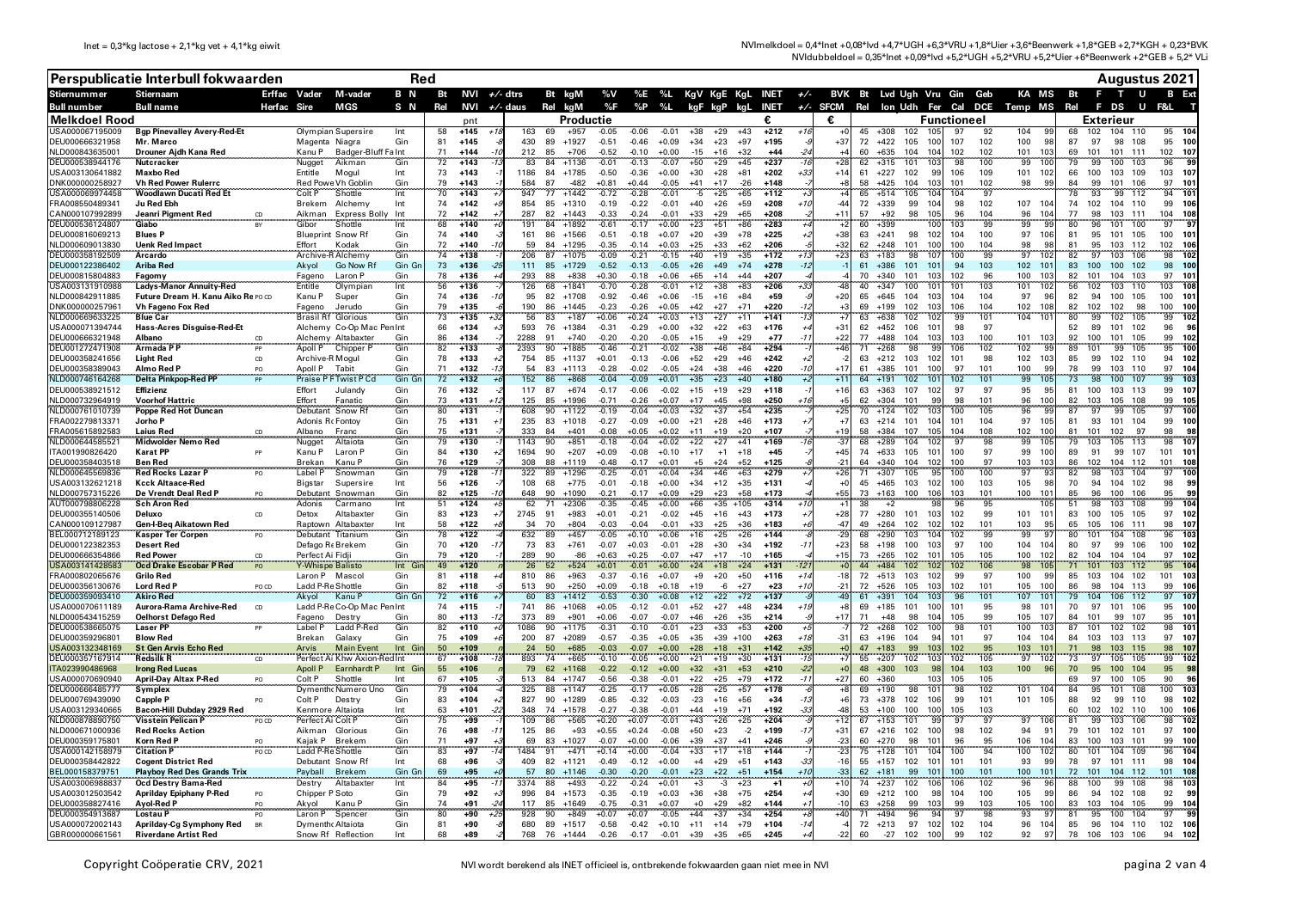| NVImelkdoel = 0,4*lnet +0,08*lvd +4,7*UGH +6,3*VRU +1,8*Uier +3,6*Beenwerk +1,8*GEB +2,7*KGH + 0,23*BVK |  |
|---------------------------------------------------------------------------------------------------------|--|
| NVldubbeldoel = 0,35*lnet +0,09*lvd +5,2*UGH +5,2*VRU +5,2*Uier +6*Beenwerk +2*GEB + 5,2* VLi           |  |

|                                     | Perspublicatie Interbull fokwaarden                                                                                                           |             |                                      |                                  | Red           |          |                  |                    |              |                                           |                    |                    |                    |                |                                   |                               |        |                            |          |                     |                                      |                                                                         |                       |                                     |                                             | <b>Augustus 2021</b>                                     |
|-------------------------------------|-----------------------------------------------------------------------------------------------------------------------------------------------|-------------|--------------------------------------|----------------------------------|---------------|----------|------------------|--------------------|--------------|-------------------------------------------|--------------------|--------------------|--------------------|----------------|-----------------------------------|-------------------------------|--------|----------------------------|----------|---------------------|--------------------------------------|-------------------------------------------------------------------------|-----------------------|-------------------------------------|---------------------------------------------|----------------------------------------------------------|
| <b>Stiernummer</b>                  | <b>Stiernaam</b>                                                                                                                              |             | Erffac Vader                         | M-vader                          | R N           |          |                  | Bt $NVI$ +/- dtrs  |              | Bt kgM                                    | %F                 | %P                 | %L                 |                |                                   | %V %E %L KgV KgE KgL INET +/- |        |                            |          |                     |                                      | BVK Bt Lvd Ugh Vru Gin Geb                                              |                       |                                     | KA MS Bt F T U                              | <b>B</b> Ext<br>$\cup$                                   |
| <b>Bull number</b><br>Melkdoel Rood | <b>Bull name</b>                                                                                                                              | Herfac Sire |                                      | MGS                              | S N           | Rel      |                  |                    |              | NVI $+/-$ daus Rel kgM<br>Productie       |                    |                    |                    | kgF kgP kgL    |                                   | €                             |        | €                          |          |                     |                                      | INET +/- SFCM Rel lon Udh Fer Cal DCE Temp MS Rel<br><b>Functioneel</b> |                       |                                     | F DS<br>Exterieur                           | F&L                                                      |
| USA000067195009                     | <b>Bgp Pinevalley Avery-Red-Et</b>                                                                                                            |             |                                      | Olympian Supersire               | Int           | 58       | pnt<br>$+145$    |                    | 163          | 69<br>$+957$                              | $-0.05$            | $-0.06$            | $-0.01$            | $+38$          | $+29$<br>$+43$                    | $+212$                        |        |                            | 45       | $+308$              | 102                                  | 97                                                                      | -92                   | 104                                 | 102<br>104 110<br>68                        | 95                                                       |
| DEU000666321958                     | Mr. Marco                                                                                                                                     |             | Magenta Niagra                       |                                  | Gin           | 81       | $+145$           |                    | 430          | 89<br>$+1927$                             | $-0.51$            | $-0.46$            | $+0.09$            | $+34$          | $+23$<br>$+97$                    | $+195$                        |        | $+37$                      | 72       | $+422$              | 105<br>100                           | 107                                                                     | 102                   | 100<br>-98                          | 87<br>97<br>98                              | 108<br>95<br>100                                         |
| NLD000843635001                     | Drouner Ajdh Kana Red                                                                                                                         |             | Kanu P                               | Badger-Bluff Fa Int              |               | 71       | $+144$           |                    | 212          | 85<br>$+706$                              | $-0.52$            | $-0.10$            | $+0.00$            | $-15$          | $+16$<br>$+32$                    | $+44$                         |        |                            | 60       | $+635$              | 104<br>104<br>10:                    | 102                                                                     | 102                   | 10 <sup>2</sup><br>101<br>100       | 101 111<br>69<br>101<br>79<br>99            | 102<br>107                                               |
| DEU000538944176<br>USA003130641882  | <b>Nutcracker</b><br><b>Maxbo Red</b>                                                                                                         |             | Nugget<br>Entitle                    | Aikman<br>Mogul                  | Gin<br>Int    | 72<br>73 | $+143$<br>$+143$ |                    | 83<br>1186   | 84<br>$+1136$<br>84<br>$+1785$            | $-0.01$<br>$-0.50$ | $-0.13$<br>$-0.36$ | $-0.07$<br>$+0.00$ | $+50$<br>$+30$ | $+29$<br>$+45$<br>$+28$<br>$+81$  | $+237$<br>$+202$              | +33    | $+28$<br>$+14$             | 62<br>61 | $+315$<br>$+227$    | 101<br>102<br>99                     | 98<br>106                                                               | 100<br>109            | 99<br>101 102                       | 100<br>103 109<br>66<br>100                 | 103<br>96<br>103<br>107                                  |
| DNK000000258927                     | <b>Vh Red Power Rulerrc</b>                                                                                                                   |             | Red Powe Vh Goblin                   |                                  | Gin           | 79       | $+143$           |                    | 584          | 87<br>$-482$                              | $+0.81$            | $+0.44$            | $-0.05$            | $+41$          | $+17$                             | $-26$<br>$+148$               |        |                            | 58       | $+425$              | 104<br>103                           | 101                                                                     | 102                   | <b>QC</b><br>98                     | 101 106<br>84<br>99                         | 97<br>101                                                |
| JSA000069974458                     | <b>Woodlawn Ducati Red Et</b>                                                                                                                 |             | Colt <sub>P</sub>                    | Shottle                          | Int           | 70       | $+143$           |                    | 947          | 77<br>$+1442$                             | $-0.72$            | $-0.28$            | $-0.01$            | $-5$           | $+65$<br>$+25$                    | $+112$                        |        |                            | 65       | $+514$              | 105<br>104                           | 104                                                                     | 97                    |                                     | 78<br>93<br>99                              | 112<br>94<br>101                                         |
| FRA008550489341<br>CAN000107992899  | Ju Red Ebh                                                                                                                                    |             | Brekem<br>Aikman                     | Alchemy<br><b>Express Bolly</b>  | Int<br>Int    | 74<br>72 | $+142$<br>$+142$ |                    | 854<br>287   | 85<br>$+1310$<br>82<br>$+1443$            | $-0.19$<br>$-0.33$ | $-0.22$<br>$-0.24$ | $-0.01$<br>$-0.01$ | $+40$<br>$+33$ | $+26$<br>$+59$<br>$+29$<br>$+65$  | $+208$<br>$+208$              | +11    | $-44$<br>$+11$             | 57       | $72 + 339$<br>$+92$ | 99<br>104<br>98<br>105               | 98<br>96                                                                | 102<br>104            | 107 10<br>96<br>10                  | 74<br>102 104 110<br>103 111<br>77<br>98    | 99<br>106<br>104<br>108                                  |
| DEU000536124807                     | Jeanri Pigment Red<br>Giabo (1985) - Brown Brown Brown Brown Brown Brown Brown Brown Brown Brown Brown Brown Brown Brown Brown Brown<br>Giabo |             | Gibor                                | Shottle                          | Int           | 68       | $+140$           |                    | 191          | 84<br>$+1892$                             | $-0.61$            | $-0.17$            | $+0.00$            | $+23$          | $+51$<br>$+86$                    | $+283$                        |        |                            | 60       | +399                | 100                                  | 103                                                                     | 99                    | 99<br>ة"                            | 80<br>96<br>101                             | 100<br>97                                                |
| DEU000816069213                     | <b>Blues P</b>                                                                                                                                |             | <b>Blueprint Snow Rf</b>             |                                  | Gin           | 74       | $+140$           |                    | 161          | 86<br>+1566                               | $-0.51$            | $-0.18$            | $+0.07$            | $+20$          | $+39$<br>$+78$                    | $+225$                        |        | $+38$                      | 63       | $+241$              | 98<br>102                            | 104                                                                     | 100                   | 97<br>10 <sub>F</sub>               | 101 105<br>81<br>95                         | 100<br>101                                               |
| NLD000609013830<br>DEU000358192509  | <b>Uenk Red Impact</b><br><b>Arcardo</b>                                                                                                      |             | Effort<br>Archive                    | Kodak<br>R Alchem                | Gin<br>Gin    | 72<br>74 | $+140$<br>$+138$ |                    | 59<br>206    | 84<br>$+1295$<br>87<br>$+1075$            | $-0.35$<br>$-0.09$ | $-0.14$<br>$-0.21$ | $+0.03$<br>$-0.15$ | $+25$<br>$+40$ | $+33$<br>$+62$<br>$+19$<br>$+35$  | $+206$<br>$+172$              |        | +32<br>$+23$               | 62<br>63 | $+248$<br>$+183$    | 101<br>100<br>98<br>107              | 100<br>100                                                              | 104<br>99             | <b>QS</b><br>98<br>97<br>10         | R1<br>95<br>103<br>103<br>82<br>97          | 112<br>102<br><b>106</b><br>10 <sub>f</sub><br>98<br>102 |
| DEU000122386402                     | Ariba Red                                                                                                                                     |             | Akyol                                | Go Now Rf                        | Gin Gr        | 73       | $+136$           |                    | 111          | 85<br>$+1729$                             | $-0.52$            | $-0.13$            | $-0.05$            | $+26$          | $+49$<br>$+74$                    | $+278$                        |        |                            |          | $61 + 386$          | 101<br>- 101                         | 94                                                                      | 103                   | $102 - 10^{\circ}$                  | 100 102<br>83<br>100                        | 98<br>100                                                |
| DEU000815804883                     | Fagomy                                                                                                                                        |             | Fageno                               | Laron P                          | Gin           | 78       | $+136$           |                    | 293          | 88<br>+838                                | $+0.30$            | $-0.18$            | $+0.06$            | $+65$          | $+14$<br>$+44$                    | +207                          |        |                            | 70       | $+340$              | 101<br>103                           | 102                                                                     | 96                    | 100<br>10:                          | 82<br>101<br>104 103                        | 101<br>97                                                |
| JSA003131910988                     | <b>Ladys-Manor Annuity-Red</b>                                                                                                                |             | Entitle                              | Olympiar                         | Int           | 56       | $+136$           |                    | 126          | 68<br>$+1841$                             | $-0.70$            | $-0.28$            | $-0.01$            | +12            | $+38$<br>$+83$                    | $+206$                        |        |                            | 40       | $+347$              | 100<br>$10^{\circ}$                  | 101                                                                     | 103<br>104            | 101<br>10<br>96                     | 103<br>56<br>102                            | 110<br>103<br>101                                        |
| NLD000842911885<br>DNK000000257961  | Future Dream H. Kanu Aiko Re POCD<br><b>Vh Fageno Fox Red</b>                                                                                 |             | Kanu P<br>Fageno                     | Super<br>Jerudo                  | Gin<br>Gin    | 74<br>79 | $+136$<br>$+135$ |                    | 95<br>190    | 82<br>$+1708$<br>86<br>$+1445$            | $-0.92$<br>$-0.23$ | $-0.46$<br>$-0.26$ | $+0.06$<br>$+0.05$ | $-15$<br>$+42$ | $+16$<br>$+84$<br>$+27$<br>$+71$  | $+59$<br>$+220$               |        | $+20$                      | 65<br>69 | $+645$<br>$+199$    | 104<br>103<br>102<br>103             | 104<br>106                                                              | 104                   | 97<br>108<br>102                    | 82<br>94<br>100 105<br>82<br>102<br>102     | 100<br>98<br>100<br>-100                                 |
| NLD000669633225                     | <b>Blue Car</b>                                                                                                                               |             | <b>Brasil Rf</b> Glorious            |                                  | Gin           | 73       | $+135$           |                    | 56           | 83<br>$+187$                              | $+0.06$            | $+0.24$            | $+0.03$            | $+13$          | $+27$<br>$+11$                    | $+141$                        |        |                            | 63       | $+638$              | 102<br>102                           | 99                                                                      | 101                   | 104<br>10 <sup>1</sup>              | 102<br>80<br>99                             | 105<br>99<br>102                                         |
| USA000071394744                     | Hass-Acres Disguise-Red-Et                                                                                                                    |             |                                      | Alchemy Co-Op Mac Pen Int        |               | 66       | $+134$           |                    | 593          | 76<br>$+1384$                             | $-0.31$            | $-0.29$            | $+0.00$            | $+32$          | $+22$<br>+63                      | $+176$                        |        | $+31$                      | 62       | $+452$              | 101<br>106                           | 98                                                                      | 97                    |                                     | 89<br>101 102<br>52                         | 96<br>-96                                                |
| DEU000666321948<br>EU001272471908   | Albano<br>Armada P F                                                                                                                          |             | Alchemy Altabaxter<br><b>Apoll P</b> | Chipper P                        | Gir<br>Gin    | 86<br>82 | $+134$<br>$+133$ |                    | 2288<br>2393 | Q <sub>1</sub><br>$+740$<br>90<br>$+1885$ | $-0.20$<br>$-0.46$ | $-0.20$<br>$-0.21$ | $-0.05$<br>$-0.02$ | $+15$<br>$+38$ | $+29$<br>$+9$<br>$+46$            | $+77$<br>$+84$<br>$+294$      |        | +2:<br>$+46$               | 77<br>71 | $+488$<br>$+268$    | 104<br>103<br>98<br><b>Q</b>         | 103<br>106                                                              | 100<br>102            | 101<br>10<br>102                    | 101<br>92<br>100<br>89<br>101<br>99         | 105<br>99<br>102<br>95<br>105<br>10 <sub>1</sub>         |
| DEU000358241656                     | Light Red                                                                                                                                     | CD          | Archive-R Mogul                      |                                  | Gin           | 78       | $+133$           |                    | 754          | 85<br>+1137                               | $+0.01$            | $-0.13$            | $-0.06$            | $+52$          | $+29$<br>$+46$                    | $+242$                        |        |                            | 63       | $+212$              | 103<br>102                           | 101                                                                     | 98                    | 102<br>10                           | 99<br>102 110<br>85                         | 94<br>102                                                |
| DEU000358389043                     | Almo Red P                                                                                                                                    |             | Apoll P                              | Tabit                            | Gin           | 71       | $+132$           |                    | 54           | 83<br>$+1113$                             | $-0.28$            | $-0.02$            | $-0.05$            | $+24$          | $+38$<br>$+46$                    | $+220$                        |        | $+17$                      | 61       | $+385$              | 101<br>100                           | 97                                                                      | 101                   | 100<br>$\Omega$                     | 78<br>99<br>103                             | 97<br>110<br>-104                                        |
| VLD000746164268<br>DEU000538921512  | Delta Pinkpop-Red PP<br>Effizienz                                                                                                             |             | Praise P<br>Effort                   | i Twist P Co<br>Julandy          | Gin Gi<br>Gin | 72<br>76 | $+132$<br>$+132$ |                    | 152<br>117   | 86<br>$+868$<br>87<br>$+674$              | $-0.04$<br>$-0.17$ | $-0.09$<br>$-0.06$ | $+0.01$<br>$-0.02$ | $+35$<br>$+15$ | $+23$<br>$+40$<br>$+19$<br>$+29$  | $+180$<br>$+118$              |        | $+1$ <sup>-</sup><br>$+16$ | 64<br>63 | $+191$<br>$+363$    | 102<br>101<br>107<br>102             | 102<br>97                                                               | 10 <sup>1</sup><br>97 | 99<br>10<br>95<br>- 95              | 73<br>98<br>100<br>103 113<br>81<br>100     | 99<br>103<br>107<br>99<br>107                            |
| JLD000732964919                     | <b>Voorhof Hattric</b>                                                                                                                        |             | Effort                               | Fanatio                          | Gin           | 73       | $+131$           | +1.                | 125          | 85<br>$+1996$                             | $-0.71$            | $-0.26$            | $+0.07$            | $+17$          | $+45$<br>$+98$                    | $+250$                        | +11    |                            | 62       | $+304$              | 101<br>99                            | 98                                                                      | 101                   | 100<br>96                           | 82<br>103<br>105                            | 108<br>99<br>105                                         |
| VLD000761010739                     | <b>Poppe Red Hot Duncan</b>                                                                                                                   |             | Debutant Snow Rf                     |                                  | Gin           | 80       | $+131$           |                    | 608          | 90<br>$+1122$                             | $-0.19$            | $-0.04$            | +0.03              | $+32$          | $+54$<br>$+37$                    | $+235$                        |        | $+25$                      | 70       | $+124$              | 102<br>103                           | 100                                                                     | 105                   | 96<br>$\overline{q}$                | 87<br>97<br>99                              | 105<br>97<br>100                                         |
| FRA002279813371<br>RA005615892583   | Jorho P<br><b>Laius Red</b>                                                                                                                   |             | <b>Adonis Rc Fontov</b><br>Albano    | Franc                            | Gin<br>Gin    | 75<br>75 | $+131$<br>$+131$ |                    | 235<br>333   | 83<br>$+1018$<br>84<br>$+401$             | $-0.27$<br>$-0.08$ | $-0.09$<br>$+0.05$ | $+0.00$<br>$+0.02$ | $+21$<br>$+11$ | $+28$<br>$+46$<br>$+20$<br>$+19$  | $+173$<br>$+107$              |        | $+7$<br>$+19$              | 63<br>58 | $+214$<br>$+384$    | 101<br>104<br>107<br>105             | 101<br>104                                                              | 104<br>108            | 97<br>105<br>10(<br>102             | 101 104<br>81<br>93<br>101<br>102<br>81     | 99<br>100<br>97<br>98<br>98                              |
| VLD000644585521                     | Midwolder Nemo Red                                                                                                                            |             | Nugget                               | Altaiota                         | Gin           | 79       | $+130$           |                    | 1143         | 90<br>$+851$                              | $-0.18$            | $-0.04$            | $+0.02$            | $+22$          | $+27$<br>$+41$                    | $+169$                        |        | 3.                         | 68       | $+289$              | 104<br>$10^{\circ}$                  | 97                                                                      | 98                    | 99<br>10                            | 105<br>79<br>103                            | 98<br>113<br>107                                         |
| TA001990826420                      | <b>Karat PP</b>                                                                                                                               |             | Kanu P                               | Laron P                          | Gin           | 84       | $+130$           |                    | 1694         | 90<br>$+207$                              | $+0.09$            | $-0.08$            | $+0.10$            | $+17$          | $+1$<br>$+18$                     | $+45$                         |        | $+45$                      | 74       | $+633$              | 105<br>101                           | 100                                                                     | 97                    | 99<br>10(                           | 89<br>91<br>99 107                          | 101<br>101                                               |
| DEU000358403518<br>VLD000645569836  | <b>Ben Red</b><br><b>Red Rocks Lazar P</b>                                                                                                    |             | Brekan<br>Label P                    | Kanu P                           | Gin<br>Gin    | 76<br>79 | $+129$<br>$+128$ |                    | 308<br>322   | 88<br>$+1119$<br>89<br>$+1296$            | $-0.48$<br>$-0.25$ | $-0.17$<br>$-0.01$ | $+0.01$<br>$+0.04$ | $+5$<br>$+34$  | $+24$<br>$+52$<br>$+46$<br>$+63$  | $+125$<br>$+279$              |        | -2.<br>$+26$               | 64<br>71 | $+340$<br>$+307$    | 104<br>102<br>105<br>95              | 100<br>100                                                              | 97<br>100             | 103<br>10<br>97<br>ີດ               | 102<br>104 112<br>86<br>98<br>103           | 101<br>ា 0 ខ<br>104<br>97<br>100                         |
| USA003132621218                     | <b>Kcck Altaace-Red</b>                                                                                                                       |             | Bigstar                              | Snowman<br>Supersire             | Int           | 56       | $+126$           |                    | 108          | 68<br>$+775$                              | $-0.01$            | $-0.18$            | $+0.00$            | $+34$          | $+12$<br>+35                      | $+131$                        |        |                            | 45       | $+465$              | 103<br>102                           | 100                                                                     | 103                   | 105<br>-98                          | 70<br>94<br>104 102                         | 98<br>99                                                 |
| VLD000757315226                     | De Vrendt Deal Red P                                                                                                                          | PO          | Debutant                             | Snowman                          | Gin           | 82       | $+125$           |                    | 648          | 90<br>$+1090$                             | $-0.21$            | $-0.17$            | $+0.09$            | $+29$          | $+23$<br>$+58$                    | $+173$                        |        | $+55$                      | 73       | $+163$              | 100<br>106                           | 103                                                                     | 101                   | 100<br>10                           | 96<br>100<br>85                             | 95<br>106<br>99                                          |
| AUT000798806228                     | Sch Aron Red<br>Deluxo                                                                                                                        | CD          | Adonis<br>Detox                      | Carmano                          | Int<br>Gin    | 51<br>83 | $+124$<br>$+123$ |                    | 62<br>2745   | 71<br>$+2306$<br>$+983$<br>91             | $-0.35$<br>$+0.01$ | $-0.45$<br>$-0.21$ | $+0.00$<br>$-0.02$ | $+66$<br>$+45$ | $+35$<br>$+105$<br>$+16$<br>$+43$ | $+314$<br>+173                |        | $+28$                      | 38<br>77 | $+2$<br>$+280$      | 103<br>101                           | 96<br>102                                                               | 95<br>99              | 10<br>$101 - 10'$                   | 51<br>98<br>103<br>100<br>105 105<br>83     | 99<br>108<br>104<br>97<br>-102                           |
| DEU000355140506<br>AN000109127987:  | Gen-I-Beq Aikatown Red                                                                                                                        |             |                                      | Altabaxter<br>Raptown Altabaxter | Int           | 58       | $+122$           |                    | 34           | 70<br>$+804$                              | $-0.03$            | $-0.04$            | $-0.01$            | $+33$          | $+25$<br>$+36$                    | $+183$                        |        | $-47$                      | 49       | $+264$              | 102<br>102                           | 102                                                                     | 101                   | 103<br>$\mathbf{q}$                 | 106 111<br>65<br>105                        | 98<br>107                                                |
| BEL000712189123                     | Kasper Ter Corpen                                                                                                                             | PO          | Debutant Titanium                    |                                  | Gin           | 78       | $+122$           |                    | 632          | 89<br>$+457$                              | $-0.05$            | $+0.10$            | +0.06              | $+16$          | $+25$<br>$+26$                    | $+144$                        |        | $\frac{1}{2}$              | 68       | $+290$              | 104<br>103                           | 102                                                                     | 99                    | 99                                  | 104<br>101<br>80                            | 108<br>96<br>10:                                         |
| DEU000122382353<br>0EU000666354866  | <b>Desert Red</b><br><b>Red Power</b>                                                                                                         | CD          | Defago Re Brekem<br>Perfect Ai Fidi  |                                  | Gin<br>Gin    | 70<br>79 | $+120$<br>$+120$ |                    | 73<br>289    | 83<br>$+761$<br>90<br>-86                 | $-0.07$<br>$+0.63$ | $+0.03$<br>$+0.25$ | $-0.01$<br>$-0.07$ | $+28$<br>$+47$ | $+30$<br>$+34$<br>$+17$<br>$-10$  | $+192$<br>$+165$              | -1     | $+23$<br>$+15$             | 58<br>73 | $+198$<br>$+265$    | 100<br>103<br>102<br>101             | 97<br>105                                                               | 100<br>105            | 104<br>10 <sub>4</sub><br>100<br>10 | 99 106<br>80<br>97<br>104 104 104<br>82     | 100<br>-102<br>97<br>- 102                               |
| JSA003141428583                     | <b>Ocd Drake Escobar P Red</b>                                                                                                                | PO          | <b>Y-Whispe Balisto</b>              |                                  | Int Gi        | 49       | $+120$           |                    | 26           | 52<br>$+524$                              | $+0.01$            | $-0.01$            | $+0.00$            | $+24$          | $+18$                             | $+24$<br>$+131$               |        |                            | 44       | $+484$              | 102                                  | 102                                                                     | 106                   | 98<br>10                            | 71<br>101<br>103                            | 95<br>112                                                |
| FRA000802065676                     | <b>Grilo Red</b>                                                                                                                              |             | Laron P                              | Mascol                           | Gin           | 81       | $+118$           |                    | 810          | 86<br>$+963$                              | $-0.37$            | $-0.16$            | $+0.07$            | $+9$           | $+20$<br>$+50$                    | $+116$                        | $+1$   | $-18$                      | 72       | $+513$              | 103<br>102                           | 99                                                                      | 97                    | 100<br>-99                          | 104 102<br>85<br>103                        | 101<br>- 103                                             |
| DEU000356130676<br>DEU000359093410  | <b>Lord Red F</b><br><b>Akiro Red</b>                                                                                                         | PO CD       | Ladd P-Re Shottle<br>Akyol           | Kanu P                           | Gin<br>Gin Gr | 82<br>72 | $+118$<br>$+116$ |                    | 513<br>60    | 90<br>$+250$<br>83<br>$+1412$             | $+0.09$<br>$-0.53$ | $-0.18$<br>$-0.30$ | $+0.18$<br>$+0.08$ | $+19$<br>$+12$ | $+27$<br>-6<br>$+22$<br>$+72$     | $+23$<br>$+137$               | $+10$  | $-21$<br>AC                | 72<br>61 | $+526$<br>$+391$    | 105<br>103<br>104<br>10 <sup>3</sup> | 102<br>96                                                               | 101<br>101            | 105<br>10(<br>107<br>10             | 98<br>104 113<br>86<br>79<br>104<br>106     | 99<br>- 106<br>97<br>112<br>107                          |
| USA000070611189                     | Aurora-Rama Archive-Red                                                                                                                       | CD          |                                      | Ladd P-Re Co-Op Mac Pen Int      |               | 74       | $+115$           |                    | 741          | $+1068$<br>86                             | $+0.05$            | $-0.12$            | $-0.01$            | $+52$          | $+27$<br>$+48$                    | $+234$                        | +1:    | $+8$                       | 69       | $+185$              | 101<br>100                           | 101                                                                     | 95                    | 98<br>10                            | 101 106<br>70<br>97                         | 95<br>100                                                |
| NLD000543415259                     | Oelhorst Defago Red                                                                                                                           |             | Fageno                               | Destry                           | Gin           | 80       | $+113$           |                    | 373          | 89<br>$+901$                              | $+0.06$            | $-0.07$            | $-0.07$            | $+46$          | $+26$                             | $+35$<br>$+214$               |        | $+17$                      | 71       | $+48$               | 98<br>104                            | 105                                                                     | 99                    | $10^{\circ}$<br>105                 | 101<br>99 107<br>84                         | 95<br>101                                                |
| EU000538665075<br>DEU000359296801   | <b>Laser PP</b><br><b>Blow Red</b>                                                                                                            |             | Label P<br>Brekan                    | Ladd P-Rec<br>Galaxy             | Gin<br>Gin    | 82<br>75 | $+110$<br>$+109$ |                    | 1086<br>200  | 90<br>$+1175$<br>87<br>$+2089$            | $-0.31$<br>$-0.57$ | $-0.10$<br>$-0.35$ | $-0.01$<br>$+0.05$ | $+23$<br>$+35$ | $+33$<br>$+53$<br>$+39 +100$      | $+200$<br>$+263$              |        | $-31$                      | 72<br>63 | $+268$<br>$+196$    | 102<br>100<br>94<br>104              | 98<br>101                                                               | 101<br>97             | 100<br>$\overline{10}$<br>104 104   | 87<br>101<br>102<br>84 103 103 113          | 98<br>102<br>10 <sup>1</sup><br>97 107                   |
| ISA003132348169                     | <b>St Gen Arvis Echo Red</b>                                                                                                                  |             | Arvis                                | Main Event                       | Int Gi        | 50       | $+109$           |                    | 24           | 50<br>$+685$                              | $-0.03$            | $-0.07$            | $+0.00$            | $+28$          | $+31$<br>$+18$                    | $+142$                        |        |                            | 47       | $+183$              | 99                                   | 102                                                                     | 95                    | 10<br>103                           | 98<br>103 115<br>71                         | 98<br>107                                                |
| EU000357167914                      | <b>Redsilk R</b>                                                                                                                              | CD          |                                      | Perfect Ai Khw Axion-Red Int     |               | 67       | $+108$           |                    | 893          | 74<br>$+665$                              | $-0.10$            | $-0.05$            | $+0.00$            | $+21$          | $+19$<br>$+30$                    | $+13'$                        |        |                            | 55       | $+207$              | 102<br>103                           | 102                                                                     | 105                   | 97<br>10                            | 73<br>97<br>105                             | 99<br>105<br>-102                                        |
| TA023990486968<br>JSA000070690940   | <b>Irong Red Lucas</b>                                                                                                                        |             | Apoll P<br>Colt <sub>P</sub>         | Earnhardt P                      | Int Gi        | 55<br>67 | $+106$<br>$+105$ |                    | 79<br>513    | 62<br>$+1168$<br>84<br>$+1747$            | $-0.22$<br>$-0.56$ | $-0.12$<br>$-0.38$ | $+0.00$<br>$-0.01$ | $+32$          | $+31$<br>$+53$<br>$+25$<br>$+79$  | $+210$<br>$+172$              | $-1$   |                            | 48<br>60 | $+300$<br>$+360$    | 103<br>98<br>103                     | 104                                                                     | 103<br>105            | 100<br>- 91                         | 100 104<br>70<br>95<br>69<br>97<br>100      | 95<br>105<br>90<br>96                                    |
| DEU000666485777                     | <b>April-Day Altax P-Red</b><br>Symplex                                                                                                       | PO          |                                      | Shottle<br>Dymenth Numero Uno    | Int<br>Gin    | 79       | $+104$           |                    | 325          | 88<br>$+1147$                             | $-0.25$            | $-0.17$            | $+0.05$            | $+22$<br>$+28$ | $+25$<br>$+57$                    | $+175$                        |        | $+27$                      | 69       | $+190$              | 101<br>98                            | 105<br>98                                                               | 102                   | 101<br>10                           | 84<br>101<br>95                             | 100<br>10 <sup>2</sup><br>108                            |
| DEU000769439090                     | <b>Capple P</b>                                                                                                                               | PO          | Colt P                               | Destry                           | Gin           | 83       | $+104$           |                    | 827          | $+1289$<br>90                             | $-0.85$            | $-0.32$            | $-0.03$            | $-23$          | $+16$<br>$+56$                    | $+34$                         | -1.    | $+6$                       | 73       | $+378$              | 102<br>106                           | 99                                                                      | 101                   | 101 105                             | 88<br>92<br>99 110                          | 98<br>102                                                |
| JSA003129340665                     | Bacon-Hill Dubday 2929 Red                                                                                                                    |             | Kenmore Altaiota                     |                                  | Int           | 63       | $+101$           | $-2:$              | 348          | 74<br>$+1578$                             | $-0.27$            | $-0.38$            | $-0.01$            | $+44$          | $+19$<br>$+71$                    | $+192$                        | $-3.3$ | -48                        | 53       | $+100$              | 100<br>100                           | 105                                                                     | 103                   |                                     | 102<br>102 110<br>60                        | 100<br>106                                               |
| NLD000878890750<br>NLD000671000936  | Visstein Pelican P<br><b>Red Rocks Action</b>                                                                                                 | PO CD       | Perfect Ai Colt P<br>Aikman          | Glorious                         | Gin<br>Gin    | 75<br>76 | $+99$<br>+98     | -1                 | 109<br>125   | $+565$<br>86<br>86<br>$+93$               | $+0.20$<br>$+0.55$ | $+0.07$<br>$+0.24$ | $-0.01$<br>$-0.08$ | $+43$<br>$+50$ | $+26$<br>$+25$<br>$+23$           | $+204$<br>$-2$<br>$+199$      | $-1$   | $+1$<br>$+31$              | 67<br>67 | $+153$<br>$+216$    | 101<br>g.<br>102<br>100              | 97<br>98                                                                | 97<br>102             | 97<br>10<br>94<br>$\overline{9}$    | 99<br>103<br>81<br>79<br>101<br>102 101     | 106<br>98<br>102<br>97<br>100                            |
| DELI000359175801                    | Korn Red P<br>                                                                                                                                |             | Kaiak P                              | <b>Brekem</b>                    | Gin           | 71       | $+97$            |                    | 69           | 83<br>$+1027$                             | $-0.07$            | $+0.00$            | $-0.06$            | $+39$          | $+37$<br>$+41$                    | $+246$                        |        | $.2^{\prime}$              | 60       | $+270$              | 98<br>101                            | 96                                                                      | 95                    | 106<br>10                           | 103 101<br>83<br>100                        | 99<br>100                                                |
| JSA000142158979                     | <b>Citation P</b>                                                                                                                             | PO CD       | Ladd P-Re Shottle                    |                                  | Gin           | 83       | $+97$            |                    | 1484         | $+471$<br>91                              | $+0.14$            | $+0.00$            | $-0.04$            | $+33$          | $+17$                             | $+144$<br>$+18$               |        |                            | 75       | $+128$              | 101<br>104                           | 100                                                                     | 94                    | 100<br>10                           | 101<br>104<br>80                            | 109<br>96                                                |
| DEU000358442822<br>BEL000158379751  | <b>Cogent District Red</b><br><b>Playboy Red Des Grands Trix</b>                                                                              |             | Debutant Snow Rf<br>Payball          | <b>Brekem</b>                    | Int<br>Gin Gr | 68<br>69 | $+96$<br>+95     |                    | 409<br>57    | 82<br>$+1121$<br>80<br>$+1146$            | $-0.49$<br>$-0.30$ | $-0.12$<br>$-0.20$ | $+0.00$<br>$-0.01$ | $+4$<br>$+23$  | $+29$<br>$+51$<br>$+22$<br>$+51$  | $+143$<br>$+154$              |        | $-16$<br>-3:               | 55<br>62 | $+157$<br>$+181$    | 102<br>101<br>99<br>101              | 101<br>100                                                              | 101<br>101            | 93<br>-99<br>100<br>10 <sup>°</sup> | 78<br>97<br>101 111<br>72<br>101<br>104 112 | 98<br>104<br>101<br>108                                  |
| JSA003006988837                     | Ocd Destry Bama-Red                                                                                                                           |             | Destrv                               | Altabaxte                        | Int           | 84       | +95              |                    | 3374         | 88<br>+493                                | $-0.22$            | $-0.24$            | $+0.01$            | $+3$           | -3<br>$+23$                       | $+1$                          |        | $+10$                      | 74       | $+237$              | 102<br>106                           | 106                                                                     | 102                   | 96<br>9                             | 100<br>99<br>88                             | 108<br>98<br>103                                         |
| JSA003012503542                     | Aprilday Epiphany P-Red                                                                                                                       |             | Chipper P Soto                       |                                  | Gin           | 79       | +92              |                    | 996          | 84<br>$+1573$                             | $-0.35$            | $-0.19$            | $+0.03$            | $+36$          | $+38$<br>$+75$                    | $+254$                        |        | $+30$                      | 69       | $+212$              | 98<br>100                            | 104                                                                     | 100                   | 105<br><b>gc</b>                    | 86<br>94<br>102 108                         | 92<br>99                                                 |
| DEU000358827416<br>DEU000354913687  | Ayol-Red P<br><b>Lostau P</b>                                                                                                                 | PO<br>PO    | Akvol<br>Laron P                     | Kanu F<br>Spence                 | Gin<br>Gin    | 74<br>80 | +91<br>+90       | $-2\cdot$<br>$+25$ | 117<br>928   | 85<br>$+1649$<br>90<br>+849               | $-0.75$<br>$+0.07$ | $-0.31$<br>$+0.07$ | $+0.07$<br>$-0.05$ | $+0$<br>$+44$  | $+29$<br>$+82$<br>$+37$<br>$+34$  | $+144$<br>$+254$              |        | $-10$<br>$+40$             | 63<br>71 | $+258$<br>$+494$    | 99<br>103<br>96<br>94                | 99<br>97                                                                | 103<br>98             | 105<br>100<br>93<br>$\mathbf{q}$    | 83<br>103<br>104 105<br>81<br>95<br>100     | 99<br>104<br>97<br>99<br>104                             |
| USA000072002143                     | Aprilday-Cg Symphony Red                                                                                                                      | <b>BR</b>   | Dymenth Altaiota                     |                                  | Gin           | 81       | $+90$            |                    | 680          | 89<br>$+1517$                             | $-0.58$            | $-0.42$            | $+0.10$            | $+11$          | $+14$<br>$+79$                    | $+104$                        |        |                            |          | $72 + 213$          | 97<br>102                            | 102                                                                     | 104                   | 96<br>104                           | 85<br>96<br>104 110                         | 106<br>102                                               |
| GBR000000661561                     | <b>Riverdane Artist Red</b>                                                                                                                   |             | Snow Rf Reflection                   |                                  | Int           | 68       | +89              |                    | 768          | 76 +1444                                  | $-0.26$            | $-0.17$            | $-0.01$            | $+39$          | $+35$<br>$+65$                    | $+245$                        |        | $-22$                      | 60       | $-27$               | 102<br>100                           | 99                                                                      | 102                   | 92<br>97                            | 78<br>106 103 106                           | 102<br>94                                                |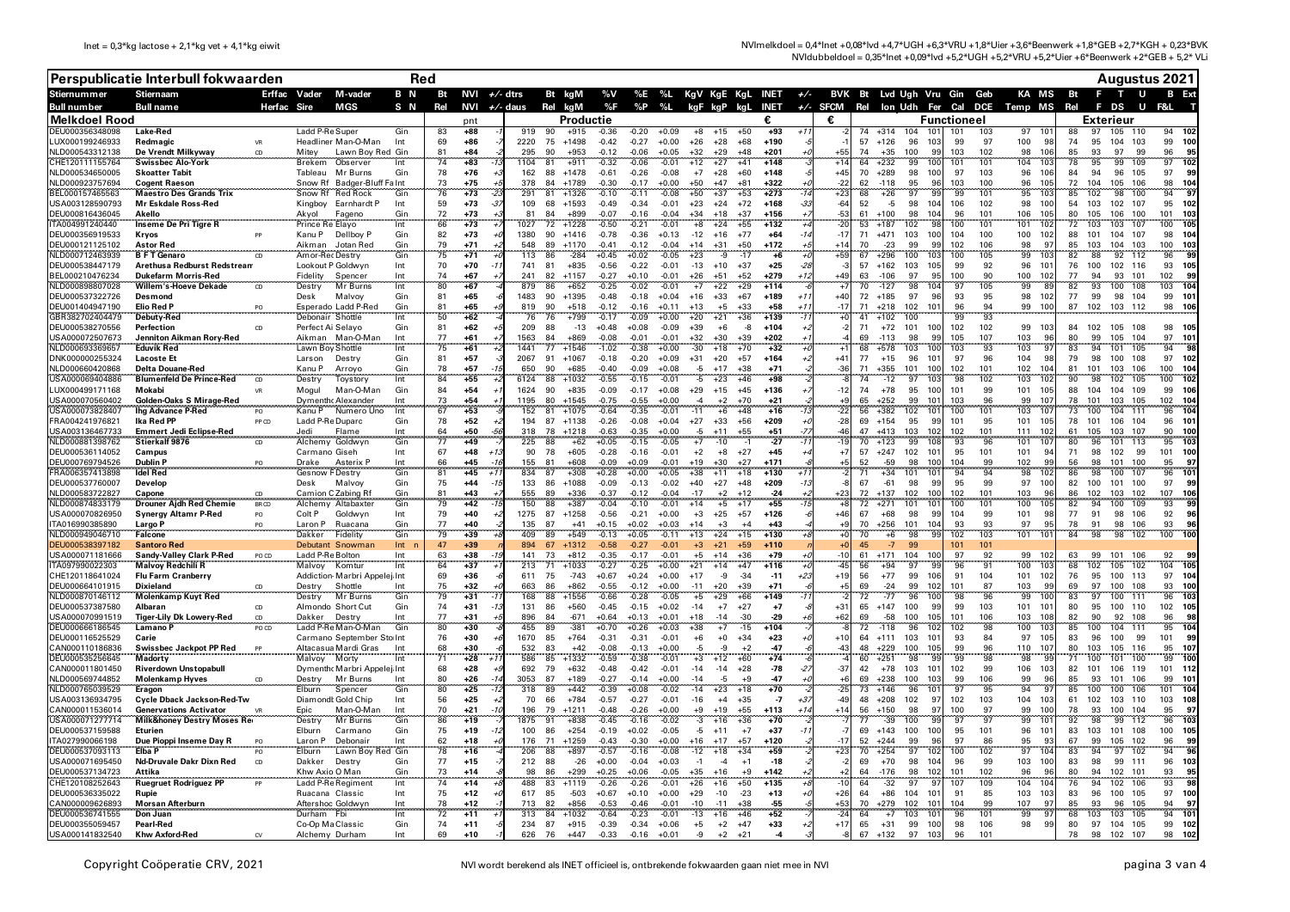NVImelkdoel = 0,4\*lnet +0,08\*lvd +4,7\*UGH +6,3\*VRU +1,8\*Uier +3,6\*Beenwerk +1,8\*GEB +2,7\*KGH + 0,23\*BVK NVIdubbeldoel = 0,35\*lnet +0,09\*lvd +5,2\*UGH +5,2\*VRU +5,2\*Uier +6\*Beenwerk +2\*GEB + 5,2\* VLi

|                                    | Perspublicatie Interbull fokwaarden                         |             |                                 |                                                  |            |                 |                |                         |                |                     |                    |                    |                    |                                  |                |                                                          |     |                                             |                              |            | <b>Augustus 2021</b>                |            |                                                               |          |                                        |                         |
|------------------------------------|-------------------------------------------------------------|-------------|---------------------------------|--------------------------------------------------|------------|-----------------|----------------|-------------------------|----------------|---------------------|--------------------|--------------------|--------------------|----------------------------------|----------------|----------------------------------------------------------|-----|---------------------------------------------|------------------------------|------------|-------------------------------------|------------|---------------------------------------------------------------|----------|----------------------------------------|-------------------------|
| Stiernummer                        | <b>Stiernaam</b>                                            |             | Erffac Vader M-vader            |                                                  | B N        |                 |                | Bt NVI $+/$ -dtrs       |                | Bt kgM              |                    |                    |                    |                                  |                | %V %E %L KgV KgE KgL INET +/- BVK Bt Lvd Ugh Vru Gin Geb |     |                                             |                              |            |                                     |            | KA MS Bt F                                                    |          | T U                                    | <b>B</b> Ext            |
| <b>Bull number</b>                 | <b>Bull name</b>                                            | Herfac Sire |                                 | MGS                                              | S N        | Rel             |                | NVI $+/$ - daus Rel kgM |                |                     | %F                 | %P %L              |                    |                                  |                |                                                          |     |                                             |                              |            |                                     |            | kgF kgP kgL INET +/- SFCM Rel lon Udh Fer Cal DCE Temp MS Rel |          | F DS                                   | U F&L                   |
| Melkdoel Rood<br>DEU000356348098   | Lake-Red                                                    |             | Ladd P-Re Super                 |                                                  | Gir        | 83              | pnt<br>$+88$   | 919                     | 90             | Productie<br>$+915$ | $-0.36$            | $-0.20$            | $+0.09$            | $+8$<br>$+15$                    | $+50$          | €<br>$+93$                                               | €   |                                             | 74<br>$+314$                 | 104        | <b>Functioneel</b><br>10<br>101     | 103        | 97<br>10                                                      | 88       | <b>Exterieur</b><br>97<br>105<br>110   | 94<br>102               |
| LUX000199246933                    | Redmagic                                                    |             |                                 | Headliner Man-O-Man                              | Int        | 69              | +86            | 2220                    | 75             | $+1498$             | $-0.42$            | $-0.27$            | $+0.00$            | $+26$<br>$+28$                   | $+68$          | $+190$                                                   |     |                                             | 57<br>$+126$                 | 96         | 99<br>103                           | 97         | 100<br>98                                                     | 74       | 95<br>104<br>103                       | 99<br>100               |
| NLD000543312138                    | De Vrendt Milkyway                                          |             | Mitey                           | Lawn Boy Red Gin                                 |            | 81              | +84            | 295                     | 90             | $+953$              | $-0.12$            | $-0.06$            | $+0.05$            | $+32$<br>$+29$                   | $+48$          | $+201$                                                   |     | +55<br>74                                   | $+35$                        | 100        | 103<br>99                           | 102        | 106<br>98                                                     | 85       | 93<br>97<br>99                         | 96<br>95                |
| CHE120111155764                    | <b>Swissbec Alo-York</b>                                    |             | <b>Brekem</b>                   | Observer                                         | Int        | 74              | $+83$          | 1104                    | 81             | $+911$              | $-0.32$            | $-0.06$            | $-0.01$            | $+12$<br>$+27$                   | $+41$          | $+148$                                                   |     |                                             | 64<br>$+232$                 | 99         | 101<br>100                          | 101        | 104<br>10:                                                    | 78       | 95<br>99<br>109                        | 102<br>97               |
| NLD000534650005<br>NLD000923757694 | <b>Skoatter Tabit</b><br><b>Cogent Raeson</b>               |             | Tableau                         | Mr Burns<br>Snow Rf Badger-Bluff Fa Int          | Gin        | 78<br>73        | $+76$<br>$+75$ | 162<br>378              | 88<br>84       | $+1478$<br>$+1789$  | $-0.61$<br>$-0.30$ | $-0.26$<br>$-0.17$ | $-0.08$<br>$+0.00$ | $+7$<br>$+28$<br>$+50$<br>$+47$  | $+60$<br>$+81$ | $+148$<br>$+322$                                         |     | $+45$<br>$-22$<br>62                        | 70<br>$+289$<br>$-118$       | 98<br>95   | 100<br>97<br>96<br>103              | 103<br>100 | 106<br>96<br>105<br>96                                        | 84<br>72 | 105<br>94<br>96<br>104<br>105<br>106   | 97<br>-99<br>98<br>104  |
| BEL000157465563                    | <b>Maestro Des Grands Trix</b>                              |             | Snow Rf Red Rock                |                                                  | Gir        | 76              | $+73$          | 291                     | 81             | $+1326$             | $-0.10$            | $-0.11$            | $-0.08$            | $+50$<br>$+37$                   | $+53$          | $+273$                                                   |     |                                             | 68<br>$+26$                  | 97         | 99<br>99                            | 101        | 95<br>103                                                     | 85       | 100<br>102<br>98                       | 97<br>94                |
| USA003128590793                    | <b>Mr Eskdale Ross-Red</b>                                  |             | Kingboy                         | Earnhardt P                                      | Int        | 59              | $+73$          | 109<br>-37              | 68             | $+1593$             | $-0.49$            | $-0.34$            | $-0.01$            | $+23$<br>$+24$                   | $+72$          | $+168$                                                   |     | 52<br>$-64$                                 | $-5$                         | 98         | 104<br>106                          | 102        | 100<br>98                                                     | 54       | 103<br>102 107                         | 95<br>102               |
| DEU000816436045                    | Akello                                                      |             | Akyol                           | Fageno                                           | Gir        | 72              | $+73$          | 81                      | 84             | $+899$              | $-0.07$            | $-0.16$            | $-0.04$            | $+34$<br>$+18$                   | $+37$          | $+156$                                                   |     | 61                                          | $+100$                       | 98         | 10 <sub>A</sub><br>96               | 101        | 106<br>10!                                                    | 80       | 105<br>106<br>100                      | 101<br>103<br>105       |
| TA004991240440<br>DEU000356919533  | Inseme De Pri Tigre R<br>Kryos                              |             | Prince Re Elayo<br>Kanu P       | Dellboy P                                        | Int<br>Gin | 66<br>82        | $+73$<br>$+73$ | 1027<br>1380            | 72<br>90       | $+1228$<br>$+1416$  | $-0.50$<br>$-0.78$ | $-0.21$<br>$-0.36$ | $-0.01$<br>$+0.13$ | $+8$<br>$+24$<br>$-12$<br>$+16$  | $+55$<br>$+77$ | $+132$<br>$+64$                                          |     | $-17$                                       | 53<br>$+187$<br>71<br>$+471$ | 102<br>103 | 98<br>100<br>100<br>104             | 101<br>100 | 101<br>102<br>100<br>102                                      | 72<br>88 | 103<br>107<br>103<br>101<br>104<br>107 | 100<br>98<br>104        |
| DEU000121125102                    | <b>Astor Red</b>                                            |             | Aikman                          | Jotan Red                                        | Gin        | 79              | $+71$          | 548                     | 89             | $+1170$             | $-0.41$            | $-0.12$            | $-0.04$            | $+14$<br>$+31$                   | $+50$          | $+172$                                                   |     | 70<br>$+14$                                 | $-23$                        | 99         | 99<br>102                           | 106        | 98<br>97                                                      | 85       | 103<br>104<br>103                      | 100<br>103              |
| NLD000712463939                    | <b>BFT</b> Genaro                                           |             | Amor-Rec Destry                 |                                                  | Gin        | 75              | $+71$          | 113                     | 86             | $-284$              | $+0.45$            | $+0.02$            | $-0.05$            | $+23$<br>-9                      | $-17$          | $+6$                                                     |     | $+59$                                       | $+296$<br>67                 | 100        | 100<br>10                           | 105        | 99<br>10                                                      | 82       | 112<br>88<br>92                        | 99<br>96                |
| DEU000538447179                    | Arethusa Redburst Redstream                                 |             | Lookout P Goldwyn               |                                                  | Int        | 70              | $+70$          | 741<br>$-1$             | 81             | $+835$              | $-0.56$            | $-0.22$            | $-0.01$            | $-13$<br>$+10$                   | $+37$          | $+25$                                                    |     |                                             | 57<br>$+162$                 | 103        | 105<br>99                           | 92         | 96<br>101                                                     | 76       | 100<br>102 116                         | 93<br>105               |
| BEL000210476234                    | <b>Dukefarm Morris-Red</b>                                  |             | Fidelity                        | Spencer                                          | Int<br>Înt | 74<br>80        | +67            | 241<br>879              | 82<br>86       | $+1157$             | $-0.27$            | $+0.10$<br>$-0.02$ | $-0.01$            | $+26$<br>$+51$                   | $+52$<br>$+29$ | $+279$                                                   |     | $+49$<br>63                                 | $-106$<br>$-127$             | 97<br>98   | 95<br>100<br>97<br>104              | 90<br>105  | 100<br>102<br>99                                              | 77<br>82 | 94<br>93<br>101<br>93<br>108           | 102<br>99<br>104        |
| JLD000898807028<br>DEU000537322726 | Willem's-Hoeve Dekade<br>Desmond                            |             | Destry<br>Desk                  | Mr Burns<br>Malvoy                               | Gin        | 81              | +67<br>+65     | 1483                    | 90             | $+652$<br>$+1395$   | $-0.25$<br>$-0.48$ | $-0.18$            | $-0.01$<br>$+0.04$ | $+7$<br>$+22$<br>$+16$<br>$+33$  | $+67$          | $+114$<br>$+189$                                         |     | $+40$                                       | 72<br>$+185$                 | 97         | 96<br>93                            | 95         | 98<br>102                                                     | 77       | 100<br>99<br>98<br>104                 | 103<br>99<br>101        |
| DEU001404947190                    | <b>Elio Red P</b>                                           |             | Esperado Ladd P-Red             |                                                  | Gin        | 81              | +65            | 819                     | 90             | $+518$              | $-0.12$            | $-0.16$            | $+0.11$            | $+13$<br>$+5$                    | $+33$          | $+58$                                                    | +1  | 71<br>$-17$                                 | $+218$                       | 102        | 101<br>96                           | 94         | 99<br>100                                                     | 87       | 102 103 112                            | 98<br>106               |
| GBR382702404479                    | <b>Debuty-Red</b>                                           |             | Debonair Shottle                |                                                  | Int        | 50              | $+62$          |                         | 76<br>76       | $+799$              | $-0.17$            | $-0.09$            | $+0.00$            | $+20$<br>$+21$                   | $+36$          | $+139$                                                   |     | 41                                          | $+102$                       | 100        |                                     | 93         |                                                               |          |                                        |                         |
| DEU000538270556                    | Perfection                                                  |             | Perfect Ai Selayo               |                                                  | Gin        | 81              | +62            | 209                     | 88             | $-13$               | $+0.48$            | $+0.08$            | $-0.09$            | $+39$<br>$+6$                    | -8             | $+104$                                                   |     |                                             | 71<br>$+72$                  | 101        | 102<br>100                          | 102        | 99<br>- 103                                                   | 84       | 102<br>108<br>105                      | 98<br>- 105             |
| USA000072507673<br>VLD000693369657 | Jenniton Aikman Rory-Red<br><b>Eduvik Red</b>               |             | Lawn Boy Shottle                | Aikman Man-O-Man                                 | Int<br>Int | 77<br>75        | +61<br>$+61$   | 1563<br>1441            | 84<br>77       | +869<br>$+1546$     | $-0.08$<br>$-1.02$ | $-0.01$<br>$-0.38$ | $-0.01$<br>$+0.00$ | +32<br>$+30$<br>$-30$<br>$+18$   | $+39$<br>$+70$ | $+202$<br>$+32$                                          |     | 68                                          | $-113$<br>69<br>$+578$       | 98<br>103  | 105<br>.qc<br>103<br>100            | 107<br>93  | 103<br>96<br>103<br>97                                        | 80<br>83 | 99<br>105<br>104<br>94<br>105<br>101   | 97<br>101<br>94         |
| DNK000000255324                    | <b>Lacoste Et</b>                                           |             | Larson                          | Destry                                           | Gin        | 81              | $+57$          | 2067                    | 91             | $+1067$             | $-0.18$            | $-0.20$            | $+0.09$            | $+31$<br>$+20$                   | $+57$          | $+164$                                                   |     | +41                                         | 77<br>$+15$                  | 96         | 101<br>97                           | 96         | 104<br>98                                                     | 79       | 98<br>100<br>108                       | 97<br>102               |
| NLD000660420868                    | <b>Delta Douane-Red</b>                                     |             | Kanu P                          | Arroyo                                           | Gir        | 78              | +57            | 650                     | 90             | $+685$              | $-0.40$            | $-0.09$            | $+0.08$            | $-5$<br>$+17$                    | $+38$          | $+71$                                                    |     | 71<br>-36                                   | $+355$                       | 101        | 100<br>102                          | 101        | 102<br>104                                                    | 81       | 101<br>103<br>106                      | 100<br>104              |
| JSA000069404886                    | <b>Blumenfeld De Prince-Red</b>                             |             | Destry                          | Toystory                                         | Int        | 84              | $+55$          | 6124                    | 88             | $+1032$             | $-0.55$            | $-0.15$            | $-0.01$            | -5<br>$+23$                      | $+46$          | $+98$                                                    |     |                                             | $-12$                        | 97         | 98<br>10 <sub>i</sub>               | 102        | 103<br>102                                                    |          | 105<br>98<br>102                       | 102<br>100              |
| LUX000499171168                    | Mokabi                                                      |             | Mogul                           | Man-O-Man                                        | Gin        | 84              | $+54$          | 1624                    | 90             | $+835$              | $-0.09$            | $-0.17$            | $+0.08$            | $+29$<br>$+15$<br>$\mathcal{A}$  | $+45$<br>$+70$ | $+136$                                                   |     |                                             | 74<br>$+78$                  | 95         | 100<br>101<br>103                   | 99<br>96   | 101<br>105                                                    | 88<br>78 | 104<br>104<br>109                      | 99<br>106               |
| JSA000070560402<br>JSA000073828407 | <b>Golden-Oaks S Mirage-Red</b><br><b>Ing Advance P-Red</b> |             | Dymenth cAlexander<br>Kanu P    | Numero Uno                                       | Int<br>Int | 73<br>67        | $+54$<br>$+53$ | 1195<br>152             | 80<br>81       | $+1545$<br>$+1075$  | $-0.75$<br>$-0.64$ | $-0.55$<br>$-0.35$ | $+0.00$<br>$-0.01$ | $+2$<br>$-11$<br>$+6$            | $+48$          | $+21$<br>$+16$                                           |     | 65<br>22<br>56                              | $+252$<br>$+382$             | 99<br>102  | 10 <sup>7</sup><br>100<br>10        | 101        | 99<br>107<br>103<br>107                                       |          | 101<br>103<br>105<br>100<br>111<br>104 | 102<br>104<br>104<br>96 |
| FRA004241976821                    | Ika Red PP                                                  | PP CD       | Ladd P-Re Duparc                |                                                  | Gin        | 78              | +52            | 194                     | 87             | $+1138$             | $-0.26$            | $-0.08$            | $+0.04$            | $+27$<br>$+33$                   | $+56$          | $+209$                                                   |     | $-28$                                       | 69<br>$+154$                 | 95         | 101<br>99                           | 95         | 101<br>105                                                    | 78       | 101<br>106<br>104                      | 96<br>101               |
| JSA003136467733                    | <b>Emmert Jedi Eclipse-Red</b>                              |             | Jedi                            | Flame                                            | Int        | 64              | +50            | -51<br>318              | 78             | $+1218$             | $-0.63$            | $-0.35$            | $+0.00$            | $-5$<br>$+11$                    | $+55$          | $+51$                                                    |     | 47<br>$-46$                                 | $+413$                       | 103        | 102<br>102                          | 101        | 111 102                                                       | 61       | 105<br>103<br>107                      | 90<br>100               |
| NLD000881398762                    | Stierkalf 9876                                              | CD          | Alchemy Goldwyn                 |                                                  | Gin        | 77              | +49            | 225                     | 88             | $+62$               | $+0.05$            | $-0.15$            | $-0.05$            | 47<br>$-10$                      |                | $-27$                                                    |     |                                             | $+123$                       | 99         | 93                                  | 96         | 101<br>107                                                    | 80       | 96<br>101<br>113                       | 95<br>10 <sup>2</sup>   |
| DEU000536114052<br>DEU000769794526 | Campus<br><b>Dublin P</b>                                   |             | Carmano Giseh<br>Drake          | <b>Asterix F</b>                                 | Int<br>Int | 67<br>66        | $+48$<br>$+45$ | 155                     | 90<br>78<br>81 | $+605$<br>$+608$    | $-0.28$<br>$-0.09$ | $-0.16$<br>$+0.09$ | $-0.01$<br>$-0.01$ | $+2$<br>$+8$<br>$+19$<br>$+30$   | $+27$<br>$+27$ | $+45$<br>$+171$                                          |     | 57<br>52                                    | $+247$<br>-59                | 102<br>98  | 95<br>101<br>104<br>100             | 101<br>99  | 101<br>94<br>102<br>99                                        | 71<br>56 | 98<br>102<br>99<br>98<br>101<br>100    | 101<br>100<br>97<br>95  |
| FRA006357413898                    | <b>Idel Red</b>                                             |             | Gesnow FDestry                  |                                                  | Gin        | $\overline{81}$ | $+45$          | 834                     | 87             | $+308$              | $+0.28$            | $+0.00$            | $+0.05$            | $+38$<br>$+11$                   | $+18$          | $+130$                                                   |     |                                             | $+34$                        | 101        | 94<br>10 <sup>1</sup>               |            | 98<br>102                                                     |          | 98<br>107<br>100                       | 96<br>101               |
| DEU000537760007                    | <b>Develop</b>                                              |             | Desk                            | Malvoy                                           | Gin        | 75              | $+44$          | 133<br>$-1!$            | 86             | $+1088$             | $-0.09$            | $-0.13$            | $-0.02$            | $+40$<br>$+27$                   | $+48$          | $+209$                                                   |     | 67                                          | $-61$                        | 98         | 95<br>99                            | 99         | 97<br>100                                                     | 82       | 100<br>101<br>100                      | 97<br>-99               |
| NLD000583722827                    | Capone                                                      |             | Camion C Zabing Rf              |                                                  | Gin        | 81              | $+43$          | 555                     | 89             | $+336$              | $-0.37$            | $-0.12$            | $-0.04$            | $-17$<br>$+2$                    | $+12$          | $-24$                                                    |     |                                             | 72<br>$+137$                 | 102        | 100<br>102                          | 101        | 103<br>96                                                     | 86       | 102<br>103<br>102                      | 107<br>106              |
| NLD000874833179                    | <b>Drouner Ajdh Red Chemie</b>                              | <b>BRCD</b> | Alchemy                         | Altabaxter                                       | Gin        | 79              | $+42$          | 150                     | 88             | $+387$              | $-0.04$            | $-0.10$            | $-0.01$            | $+14$<br>$+5$                    | $+17$          | $+55$                                                    |     | 72                                          | $+271$                       | 101        | 100<br>10                           | 101        | 100<br>105                                                    | 82       | 94<br>100<br>109                       | 9s<br>93                |
| USA000070826950<br>ITA016990385890 | <b>Synergy Altamr P-Red</b><br>Largo <sub>P</sub>           | PO          | Colt P<br>Laron P               | Goldwyn<br>Ruacana                               | Int<br>Gin | 79<br>77        | $+40$<br>$+40$ | 1275<br>135             | 87<br>87       | $+1258$<br>$+41$    | $-0.56$<br>$+0.15$ | $-0.21$<br>$+0.02$ | $+0.00$<br>$+0.03$ | $+3$<br>$+25$<br>$+14$<br>$+3$   | $+57$          | $+126$<br>$+4:$                                          |     | 67<br>$+46$                                 | $+68$<br>70<br>$+256$        | 98<br>101  | 104<br>99<br>93<br>104              | 99<br>93   | 101<br>98<br>97<br>95                                         | 77<br>78 | 91<br>98<br>106<br>91<br>98<br>106     | 92<br>96<br>93<br>96    |
| NLD000949046710                    | Falcone                                                     |             | Dakker                          | Fidelity                                         | Gin        | 79              | $+39$          | 409                     | 89             | $+549$              | $-0.13$            | $+0.05$            | $-0.11$            | $+13$<br>$+24$                   | $+15$          | $+130$                                                   |     |                                             | 70<br>$+6$                   | 98         | 102<br>99                           | 103        | 101<br>101                                                    | 84       | 98<br>98<br>102                        | 100<br>100              |
| DEU000538397182                    | <b>Santoro Red</b>                                          |             | Debutant Snowmar                |                                                  | Int n      | 47              | $+39$          | 894                     | 67             | $+1312$             | $-0.58$            | $-0.27$            | $-0.01$            | $+3$<br>$+21$                    | $+59$          | $+110$                                                   |     | 45                                          | $-7$                         | 99         | 101                                 | 101        |                                                               |          |                                        |                         |
| JSA000071181666                    | <b>Sandy-Valley Clark P-Red</b>                             | PO CD       | Ladd P-Re Bolton                |                                                  | Int        | 63              | +38            | 141                     | 73             | $+812$              | $-0.35$            | $-0.17$            | $-0.01$            | $+5$<br>$+14$                    | $+36$          | $+79$                                                    |     | 61                                          | $+171$                       | 104        | 100<br>97                           | 92         | 99<br>102                                                     | 63       | 99<br>101<br>106                       | 92                      |
| TA097990022303                     | <b>Malvoy Redchili R</b>                                    |             | Malvoy                          | Komtur                                           | Int        | 64<br>69        | $+37$<br>$+36$ | 213<br>611              | 71             | $+1033$<br>$-743$   | $-0.27$<br>$+0.67$ | $-0.25$            | $+0.00$            | $+21$<br>$+14$<br>$+17$<br>$-9$  | $+47$<br>$-34$ | $+116$<br>$-11$                                          |     | $\Lambda^{\mathsf{r}}$<br>56<br>56<br>$+19$ | $+94$<br>$+77$               | 97         | 96<br><b>gs</b><br>106<br>91        | 91<br>104  | 100<br>103                                                    | 68<br>76 | 102<br>102<br>105<br>95<br>100<br>113  | 104<br>105<br>97<br>104 |
| CHE120118641024<br>DEU000664101915 | <b>Flu Farm Cranberry</b><br><b>Dixieland</b>               | CD          | Destry                          | Addiction Marbri Appelej Int<br>Shottle          | Int        | 75              | $+32$          | 663                     | 75<br>86       | $+862$              | $-0.55$            | $+0.24$<br>$-0.12$ | $+0.00$<br>$+0.00$ | $-11$<br>$+20$                   | $+39$          | $+71$                                                    |     |                                             | 69<br>$-24$                  | 99<br>99   | 102<br>101                          | 87         | 101 102<br>103<br>99                                          | 69       | 97<br>100<br>108                       | 93<br>100               |
| VLD000870146112                    | <b>Molenkamp Kuyt Red</b>                                   |             | Destry                          | Mr Burns                                         | Gin        | 79              | $+31$          | 168                     | 88             | $+1556$             | $-0.66$            | $-0.28$            | $-0.05$            | $+5$<br>$+29$                    | $+66$          | $+149$                                                   |     |                                             | 72<br>$-77$                  | 96         | 98<br>100                           | 96         | 99<br>100                                                     | 83       | 111<br>97<br>100                       | 96<br>103               |
| DEU000537387580                    | Albaran                                                     | CD          | Almondo Short Cut               |                                                  | Gin        | 74              | $+31$          | 131                     | 86             | $+560$              | $-0.45$            | $-0.15$            | $+0.02$            | $-14$<br>$+7$                    | $+27$          | $+7$                                                     |     | $+31$<br>65                                 | $+147$                       | 100        | 99<br>99                            | 103        | 101 101                                                       | 80       | 95<br>100<br>110                       | 102<br>105              |
| JSA000070991519                    | <b>Tiger-Lily Dk Lowery-Red</b>                             | CD          | Dakker                          | Destry                                           | Int        | 77              | $+31$          | 896                     | 84             | $-671$              | $+0.64$            | $+0.13$            | $+0.01$            | $+18$<br>$-14$                   | $-30$          | $-29$                                                    |     | $+62$                                       | 69<br>-58                    | 100        | 105<br>101                          | 106        | 103<br>108                                                    | 82       | 108<br>90<br>92                        | 96<br>98                |
| DEU000666186545<br>DEU000116525529 | Lamano<br>Carie                                             | PO CD       |                                 | Ladd P-Re Man-O-Man<br>Carmano September Sto Int | Gin        | 80<br>76        | $+30$<br>$+30$ | 455<br>1670             | 89<br>85       | $-381$<br>$+764$    | $+0.70$<br>$-0.31$ | $+0.26$<br>$-0.31$ | $+0.03$<br>$-0.01$ | $+7$<br>$+38$<br>$+6$<br>$+0$    | $-15$<br>$+34$ | $+104$<br>$+23$                                          |     | $+10$<br>64                                 | 72<br>$-118$<br>$+111$       | 96<br>103  | 102<br>101<br>93                    | 98<br>84   | 100<br>103<br>97<br>105                                       | 85<br>83 | 100<br>111<br>104<br>96<br>100<br>99   | 95<br>104<br>101        |
| CAN000110186836                    | Swissbec Jackpot PP Red                                     |             |                                 | Altacasua Mardi Gras                             | Int        | 68              | $+30$          | 532                     | 83             | $+42$               | $-0.08$            | $-0.13$            | $+0.00$            | $-5$<br>-9                       | $+2$           | $-47$                                                    |     | 43                                          | 48<br>$+229$                 | 100        | 105<br>99                           | 96         | 107<br>110                                                    | 80       | 103<br>105<br>116                      | 95<br>107               |
| DEU000535256645                    | <b>Madorty</b>                                              |             | Malvoy                          | Morty                                            | Int        | 71              | $+28$          | 586                     | 85             | $+1332$             | $-0.59$            | $-0.38$            | $-0.01$            | $+3$<br>$+12$                    | $+60$          | $+74$                                                    |     |                                             | $+251$<br>60                 | 98         | 99<br>gc                            | 98         | 98<br>9                                                       |          | 100<br>101<br>100                      | 99<br>100               |
| CAN000011801450                    | <b>Riverdown Unstopabull</b>                                |             |                                 | Dymentho Marbri Appelej Int                      |            | 68              | $+28$          | 692                     | 79             | $+632$              | $-0.48$            | $-0.42$            | $-0.01$            | $-14$<br>$-14$                   | $+28$          | $-78$                                                    |     | $-37$<br>42                                 | $+78$                        | 103        | 101<br>102                          | 99         | 106<br>103                                                    | 82       | 101<br>106<br>119                      | 101<br>- 112            |
| VLD000569744852<br>NLD000765039529 | <b>Molenkamp Hyves</b>                                      | CD          | Destry                          | Mr Burns<br>Spencer                              | Int<br>Gin | 80<br>80        | +26            | $-14$<br>3053<br>318    | 87<br>89       | $+189$<br>$+442$    | $-0.27$<br>$-0.39$ | $-0.14$<br>$+0.08$ | $+0.00$<br>$-0.02$ | $-14$<br>$-5$<br>$-14$<br>$+23$  | $+9$<br>$+18$  | $-47$<br>$+70$                                           |     | $-25$                                       | 69<br>$+238$<br>73           | 100<br>96  | 103<br>99<br>10<br>97               | 106<br>95  | 99<br>96<br>94<br>-97                                         | 85<br>85 | 93<br>101<br>106<br>100                | 99<br>101<br>104<br>101 |
| JSA003136934795                    | Eragon<br><b>Cycle Dback Jackson-Red-Tw</b>                 |             | Elburn<br>Diamondt Gold Chip    |                                                  | Int        | 56              | $+25$<br>$+25$ | 70                      | 66             | $+784$              | $-0.57$            | $-0.27$            | $-0.01$            | $-16$<br>$+4$                    | $+35$          | -7                                                       | +3. | $-49$<br>48                                 | $+146$<br>$+208$             | 102        | 97<br>102                           | 103        | 104<br>103                                                    | 61       | 100<br>106<br>102<br>103<br>110        | 103<br>108              |
| CAN000011536014                    | <b>Genervations Activator</b>                               |             | Epic                            | Man-O-Man                                        | Int        | 70              | +21            | 196                     | 79             | $+1211$             | $-0.48$            | $-0.26$            | $+0.00$            | $+9$<br>$+19$                    | $+55$          | $+113$                                                   |     | $+14$<br>56                                 | $+150$                       | 98         | 97<br>100                           | 97         | 99<br>100                                                     | 78       | 93<br>100<br>104                       | 95<br>-97               |
| JSA000071277714                    | <b>Milk&amp;honey Destry Moses Red</b>                      |             | Destry                          | Mr Burns                                         | Gin        | 86              | $+19$          | 1875                    | 91             | $+838$              | $-0.45$            | $-0.16$            | $-0.02$            | $-3$<br>$+16$                    | $+36$          | $+70$                                                    |     | 77                                          | $-39$                        | 100        | -97                                 | -97        | 99<br>10 <sup>1</sup>                                         | 92       | 112<br>98<br>99                        | 103<br>96               |
| DEU000537159588                    | Eturien                                                     |             | Elburn                          | Carmano                                          | Gin        | 75              | $+19$          | 100                     | 86             | $+254$              | $-0.19$            | $+0.02$            | $-0.05$            | $-5$<br>$+11$                    | $+7$           | $+37$                                                    |     |                                             | 69<br>$+143$                 | 100        | 100<br>95                           | 101        | 96<br>101                                                     | 83       | 103<br>101<br>108                      | 100<br>105              |
| TA027990066198<br>DEU000537093113  | Due Pioppi Inseme Day R<br>Elba P                           |             | Laron P<br>Elburn               | Debonair<br>Lawn Boy Red Gin                     | Int        | 62<br>78        | $+18$<br>$+16$ | 176<br>206              | 71<br>88       | $+1259$<br>$+897$   | $-0.43$<br>$-0.57$ | $-0.30$<br>$-0.16$ | $+0.00$<br>$-0.08$ | $+16$<br>$+17$<br>$-12$<br>$+18$ | $+57$<br>$+34$ | $+120$<br>$+59$                                          |     | 52<br>70                                    | $+244$<br>$+254$             | 99<br>97   | 96<br>97<br>100<br>102              | 86<br>102  | 95<br>93<br>97<br>10 <sub>4</sub>                             | 67<br>83 | 99<br>105<br>102<br>94<br>97<br>102    | 96<br>99<br>94          |
| JSA000071695450                    | Nd-Druvale Dakr Dixn Red                                    | CD          | Dakker                          | Destry                                           | Gin        | 77              | $+15$          | 212                     | 88             | $-26$               | $+0.00$            | $-0.04$            | $+0.03$            | $-1$<br>$-4$                     | $+1$           | $-18$                                                    |     | 69                                          | $+70$                        | 98         | 104<br>96                           | 99         | 103<br>100                                                    | 83       | 98<br>99<br>111                        | 96<br>103               |
| DEU000537134723                    | Attika                                                      |             | Khw Axio O Man                  |                                                  | Gin        | 73              | $+14$          | 98                      | 86             | $+299$              | $+0.25$            | $+0.06$            | $-0.05$            | $+35$<br>$+16$                   | +9             | $+142$                                                   |     | 64                                          | $-176$                       | 98         | 102<br>101                          | 102        | 96<br>96                                                      | 80       | 94<br>102<br>101                       | 93<br>95                |
| HE120108252643                     | Ruegruet Rodriguez PP                                       |             | Ladd P-Re Regiment              |                                                  | Int        | 74              | $+14$          | 488                     | 83             | $+1119$             | $-0.26$            | $-0.26$            | $-0.01$            | $+26$<br>$+16$                   | +50            | $+135$                                                   |     | 64                                          | $-32$                        | 97         | 107<br>97                           | 109        | 104<br>104                                                    | 76       | 94<br>102<br>106                       | 98<br>93                |
| DEU000536335022                    | Rupie                                                       |             | Ruacana Classic                 |                                                  | Int        | 75              | $+12$          | 617                     | 85             | $-503$              | $+0.67$            | $+0.10$            | $+0.00$            | $+29$<br>$-10$                   | $-23$          | $+13$                                                    |     | $+26$<br>64                                 | $+86$                        | 104        | 91<br>101                           | 85         | 103<br>103                                                    | 83       | 96<br>100<br>105                       | 97<br>100               |
| CAN000009626893<br>DEU000536741555 | Morsan Afterburn<br>Don Juan                                |             | Aftershoc Goldwyn<br>Durham Fbi |                                                  | Int<br>Int | 78<br>72        | $+12$<br>$+11$ | 713<br>313              | 82<br>84       | $+856$<br>$+1032$   | $-0.53$<br>$-0.64$ | $-0.46$<br>$-0.23$ | $-0.01$<br>$-0.01$ | $-10$<br>$-11$<br>$-13$<br>$+16$ | $+38$<br>$+46$ | -55<br>$+52$                                             |     | $+53$<br>$-24$                              | 70<br>$+279$<br>64<br>$+7$   | 102<br>103 | 101<br>104<br>10 <sup>1</sup><br>96 | 99<br>101  | 107<br>97<br>99<br>97                                         | 85<br>68 | 105<br>93<br>96<br>103<br>103<br>105   | 94<br>97<br>101<br>94   |
| DEU000355059457                    | Pearl-Red                                                   |             | Co-Op Ma Classic                |                                                  | Gin        | 74              | $+11$          | 234                     | 87             | $+915$              | $-0.39$            | $-0.34$            | $+0.06$            | $+5$<br>$+2$                     | $+47$          | $+33$                                                    |     | $+17$<br>65                                 | $+31$                        | 99         | 100<br>98                           | 106        | 98<br>99                                                      | 80       | 97<br>104 105                          | 102<br>99               |
| USA000141832540                    | <b>Khw Axford-Red</b>                                       | $\sim$      | Alchemy Durham                  |                                                  | Int        | 69              | $+10$          | 626                     | 76             | $+447$              | $-0.33$            | $-0.16$            | $+0.01$            | -9<br>$+2$                       | $+21$          | $-4$                                                     |     | $-8$<br>67                                  | $+132$                       | 97         | 103<br>96                           | 101        |                                                               | 78       | 98<br>102 107                          | 102<br>98               |